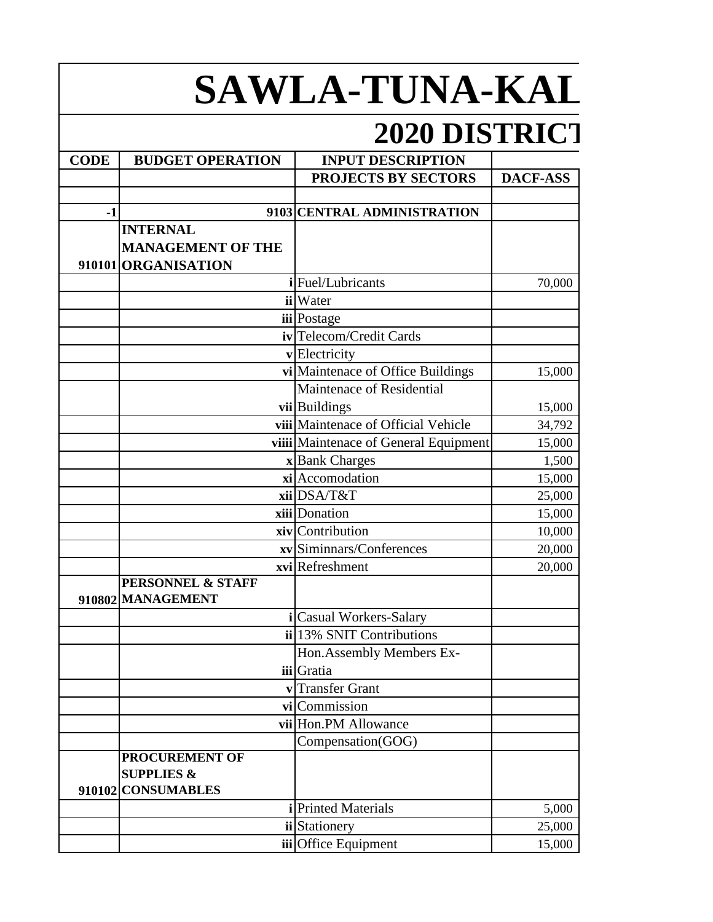## **SAWLA-TUNA-KAL**

## **2020 DISTRICT**

| <b>CODE</b> | <b>BUDGET OPERATION</b>                           | <b>INPUT DESCRIPTION</b>              |                 |
|-------------|---------------------------------------------------|---------------------------------------|-----------------|
|             |                                                   | <b>PROJECTS BY SECTORS</b>            | <b>DACF-ASS</b> |
|             |                                                   |                                       |                 |
| $-1$        |                                                   | 9103 CENTRAL ADMINISTRATION           |                 |
|             | <b>INTERNAL</b>                                   |                                       |                 |
|             | <b>MANAGEMENT OF THE</b>                          |                                       |                 |
|             | 910101 ORGANISATION                               |                                       |                 |
|             |                                                   | i Fuel/Lubricants                     | 70,000          |
|             |                                                   | ii Water                              |                 |
|             |                                                   | iii Postage                           |                 |
|             |                                                   | iv Telecom/Credit Cards               |                 |
|             |                                                   | vElectricity                          |                 |
|             |                                                   | vi Maintenace of Office Buildings     | 15,000          |
|             |                                                   | Maintenace of Residential             |                 |
|             |                                                   | vii Buildings                         | 15,000          |
|             |                                                   | viii Maintenace of Official Vehicle   | 34,792          |
|             |                                                   | viiii Maintenace of General Equipment | 15,000          |
|             |                                                   | x Bank Charges                        | 1,500           |
|             |                                                   | xi Accomodation                       | 15,000          |
|             |                                                   | xiiDSA/T&T                            | 25,000          |
|             |                                                   | xiii Donation                         | 15,000          |
|             |                                                   | xiv Contribution                      | 10,000          |
|             |                                                   | xv Siminnars/Conferences              | 20,000          |
|             |                                                   | xvi Refreshment                       | 20,000          |
|             | <b>PERSONNEL &amp; STAFF</b><br>910802 MANAGEMENT |                                       |                 |
|             |                                                   | i Casual Workers-Salary               |                 |
|             |                                                   | ii 13% SNIT Contributions             |                 |
|             |                                                   | Hon. Assembly Members Ex-             |                 |
|             |                                                   | iii Gratia                            |                 |
|             | $\mathbf{v}$                                      | <b>Transfer Grant</b>                 |                 |
|             |                                                   | vicommission                          |                 |
|             |                                                   | vii Hon.PM Allowance                  |                 |
|             |                                                   | Compensation(GOG)                     |                 |
|             | <b>PROCUREMENT OF</b>                             |                                       |                 |
|             | <b>SUPPLIES &amp;</b>                             |                                       |                 |
|             | 910102 CONSUMABLES                                |                                       |                 |
|             |                                                   | <i>i</i> Printed Materials            | 5,000           |
|             |                                                   | ii Stationery                         | 25,000          |
|             |                                                   | iii Office Equipment                  | 15,000          |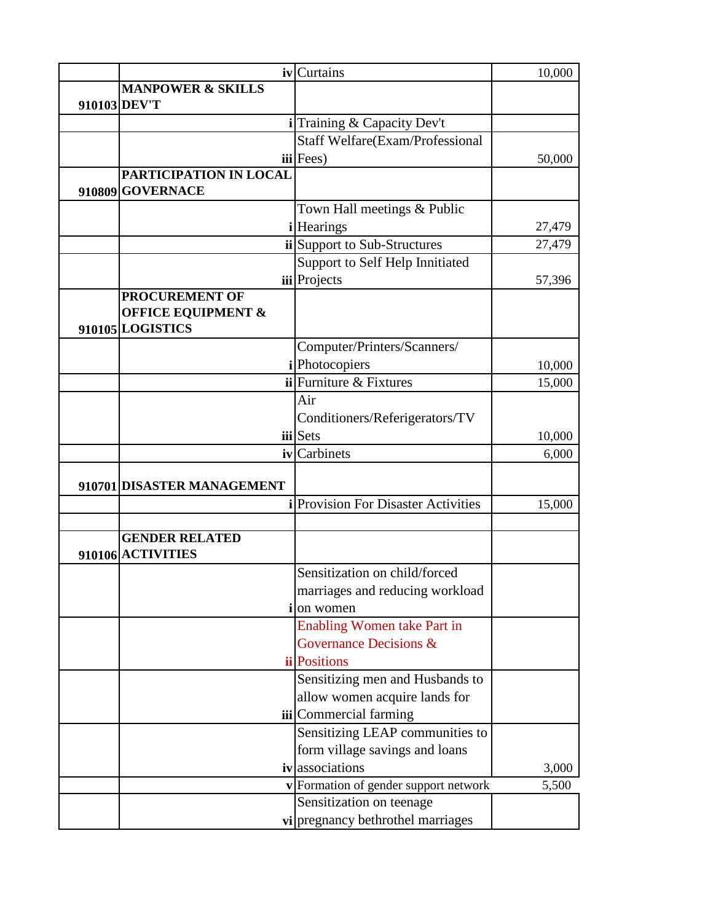|                               | iv Curtains                              | 10,000 |
|-------------------------------|------------------------------------------|--------|
| <b>MANPOWER &amp; SKILLS</b>  |                                          |        |
| 910103 DEV'T                  |                                          |        |
|                               | i Training & Capacity Dev't              |        |
|                               | Staff Welfare(Exam/Professional          |        |
|                               | $iii$ Fees)                              | 50,000 |
| PARTICIPATION IN LOCAL        |                                          |        |
| 910809 GOVERNACE              |                                          |        |
|                               | Town Hall meetings & Public              |        |
|                               | <i>i</i> Hearings                        | 27,479 |
|                               | ii Support to Sub-Structures             | 27,479 |
|                               | Support to Self Help Innitiated          |        |
|                               | iii Projects                             | 57,396 |
| <b>PROCUREMENT OF</b>         |                                          |        |
| <b>OFFICE EQUIPMENT &amp;</b> |                                          |        |
| 910105 LOGISTICS              |                                          |        |
|                               | Computer/Printers/Scanners/              |        |
|                               | <i>i</i> Photocopiers                    | 10,000 |
|                               | $ii$ Furniture & Fixtures                | 15,000 |
|                               | Air                                      |        |
|                               | Conditioners/Referigerators/TV           |        |
|                               | iii Sets                                 | 10,000 |
|                               | iv Carbinets                             | 6,000  |
|                               |                                          |        |
| 910701 DISASTER MANAGEMENT    |                                          |        |
|                               | <b>Provision For Disaster Activities</b> | 15,000 |
|                               |                                          |        |
| <b>GENDER RELATED</b>         |                                          |        |
| 910106 ACTIVITIES             |                                          |        |
|                               | Sensitization on child/forced            |        |
|                               | marriages and reducing workload          |        |
|                               | <b>i</b> lon women                       |        |
|                               | <b>Enabling Women take Part in</b>       |        |
|                               | Governance Decisions &                   |        |
|                               | <b>ii</b> Positions                      |        |
|                               | Sensitizing men and Husbands to          |        |
|                               | allow women acquire lands for            |        |
|                               | iii Commercial farming                   |        |
|                               | Sensitizing LEAP communities to          |        |
|                               | form village savings and loans           |        |
|                               | ivassociations                           | 3,000  |
|                               | v Formation of gender support network    | 5,500  |
|                               | Sensitization on teenage                 |        |
|                               | vi pregnancy bethrothel marriages        |        |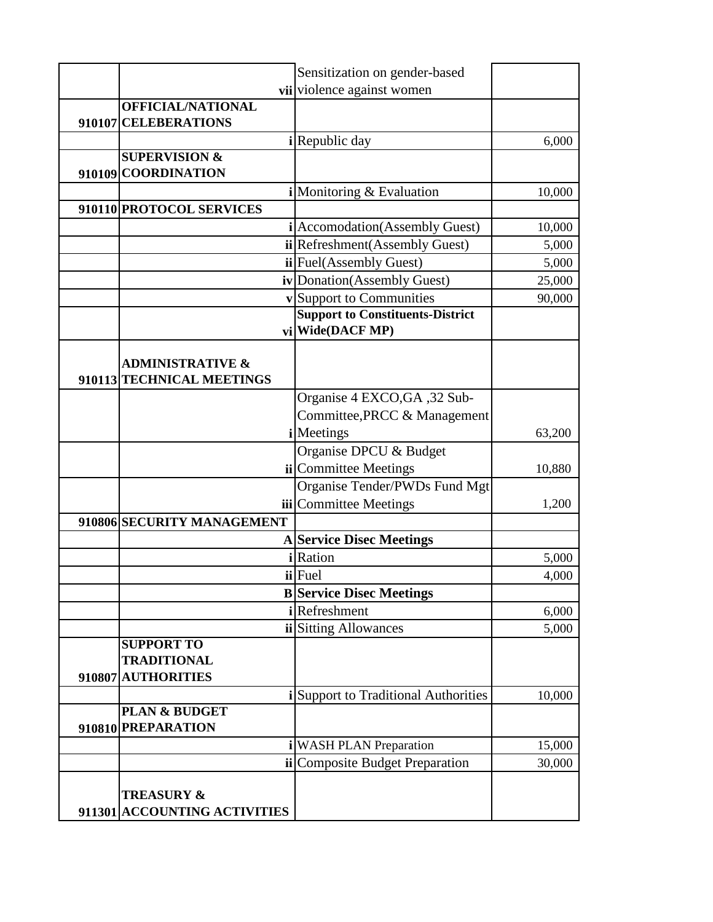|                                                          | Sensitization on gender-based                      |                |
|----------------------------------------------------------|----------------------------------------------------|----------------|
|                                                          | vii violence against women                         |                |
| <b>OFFICIAL/NATIONAL</b>                                 |                                                    |                |
| 910107 CELEBERATIONS                                     |                                                    |                |
|                                                          | <i>i</i> Republic day                              | 6,000          |
| <b>SUPERVISION &amp;</b>                                 |                                                    |                |
| 910109 COORDINATION                                      |                                                    |                |
|                                                          | i Monitoring & Evaluation                          | 10,000         |
| 910110 PROTOCOL SERVICES                                 |                                                    |                |
|                                                          | i Accomodation (Assembly Guest)                    | 10,000         |
|                                                          | ii Refreshment (Assembly Guest)                    | 5,000          |
|                                                          | ii Fuel(Assembly Guest)                            | 5,000          |
|                                                          | iv Donation (Assembly Guest)                       | 25,000         |
|                                                          | v Support to Communities                           | 90,000         |
|                                                          | <b>Support to Constituents-District</b>            |                |
|                                                          | vi Wide(DACF MP)                                   |                |
|                                                          |                                                    |                |
| <b>ADMINISTRATIVE &amp;</b><br>910113 TECHNICAL MEETINGS |                                                    |                |
|                                                          |                                                    |                |
|                                                          | Organise 4 EXCO, GA, 32 Sub-                       |                |
|                                                          | Committee, PRCC & Management<br><i>i</i> Meetings  |                |
|                                                          |                                                    | 63,200         |
|                                                          | Organise DPCU & Budget                             |                |
|                                                          | ii Committee Meetings                              | 10,880         |
|                                                          | Organise Tender/PWDs Fund Mgt                      |                |
| 910806 SECURITY MANAGEMENT                               | <b>iii</b> Committee Meetings                      | 1,200          |
|                                                          |                                                    |                |
|                                                          | <b>A</b> Service Disec Meetings<br><i>i</i> Ration |                |
|                                                          | ii Fuel                                            | 5,000<br>4,000 |
|                                                          | <b>B</b> Service Disec Meetings                    |                |
|                                                          | <i>i</i> Refreshment                               | 6,000          |
|                                                          | ii Sitting Allowances                              | 5,000          |
| <b>SUPPORT TO</b>                                        |                                                    |                |
| <b>TRADITIONAL</b>                                       |                                                    |                |
| 910807 AUTHORITIES                                       |                                                    |                |
|                                                          | i Support to Traditional Authorities               | 10,000         |
| <b>PLAN &amp; BUDGET</b>                                 |                                                    |                |
| 910810 PREPARATION                                       |                                                    |                |
|                                                          | <b>WASH PLAN Preparation</b>                       | 15,000         |
|                                                          | <b>ii</b> Composite Budget Preparation             | 30,000         |
|                                                          |                                                    |                |
| <b>TREASURY &amp;</b>                                    |                                                    |                |
| 911301 ACCOUNTING ACTIVITIES                             |                                                    |                |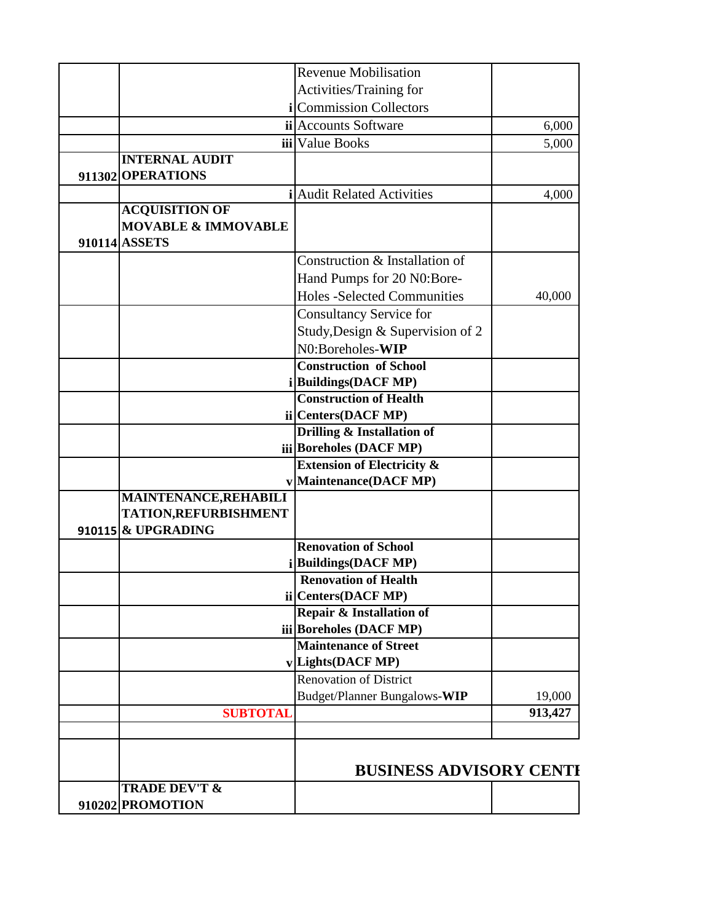|                                | <b>Revenue Mobilisation</b>                        |         |
|--------------------------------|----------------------------------------------------|---------|
|                                | Activities/Training for                            |         |
|                                | <i>i</i> Commission Collectors                     |         |
|                                | ii Accounts Software                               | 6,000   |
|                                | iii Value Books                                    | 5,000   |
| <b>INTERNAL AUDIT</b>          |                                                    |         |
| 911302 OPERATIONS              |                                                    |         |
|                                | <b>Audit Related Activities</b>                    | 4,000   |
| <b>ACQUISITION OF</b>          |                                                    |         |
| <b>MOVABLE &amp; IMMOVABLE</b> |                                                    |         |
| 910114 ASSETS                  |                                                    |         |
|                                | Construction & Installation of                     |         |
|                                | Hand Pumps for 20 N0:Bore-                         |         |
|                                | <b>Holes -Selected Communities</b>                 | 40,000  |
|                                | <b>Consultancy Service for</b>                     |         |
|                                | Study, Design & Supervision of 2                   |         |
|                                | N0:Boreholes-WIP                                   |         |
|                                | <b>Construction of School</b>                      |         |
|                                | i Buildings (DACF MP)                              |         |
|                                | <b>Construction of Health</b>                      |         |
|                                | ii Centers(DACF MP)                                |         |
|                                | Drilling & Installation of                         |         |
|                                | iii Boreholes (DACF MP)                            |         |
|                                | <b>Extension of Electricity &amp;</b>              |         |
|                                | Maintenance(DACF MP)                               |         |
| <b>MAINTENANCE, REHABILI</b>   |                                                    |         |
| TATION, REFURBISHMENT          |                                                    |         |
| 910115 & UPGRADING             |                                                    |         |
|                                | <b>Renovation of School</b>                        |         |
|                                | i Buildings (DACF MP)                              |         |
|                                | <b>Renovation of Health</b><br>ii Centers(DACF MP) |         |
|                                | Repair & Installation of                           |         |
|                                | iii Boreholes (DACF MP)                            |         |
|                                | <b>Maintenance of Street</b>                       |         |
|                                | $v$ Lights(DACF MP)                                |         |
|                                | <b>Renovation of District</b>                      |         |
|                                | Budget/Planner Bungalows-WIP                       | 19,000  |
| <b>SUBTOTAL</b>                |                                                    | 913,427 |
|                                |                                                    |         |
|                                |                                                    |         |
|                                |                                                    |         |
|                                | <b>BUSINESS ADVISORY CENTH</b>                     |         |
| <b>TRADE DEV'T &amp;</b>       |                                                    |         |
| 910202 PROMOTION               |                                                    |         |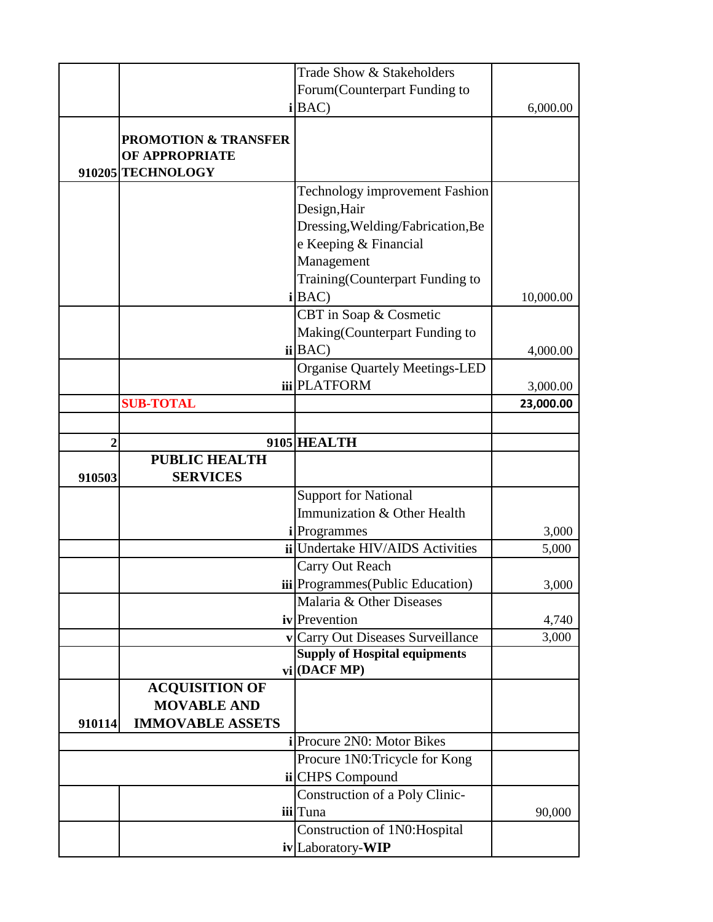|        |                                                                        | Trade Show & Stakeholders                                                 |           |
|--------|------------------------------------------------------------------------|---------------------------------------------------------------------------|-----------|
|        |                                                                        | Forum(Counterpart Funding to                                              |           |
|        |                                                                        | i BAC                                                                     | 6,000.00  |
|        | <b>PROMOTION &amp; TRANSFER</b><br>OF APPROPRIATE<br>910205 TECHNOLOGY |                                                                           |           |
|        |                                                                        | Technology improvement Fashion                                            |           |
|        |                                                                        | Design, Hair                                                              |           |
|        |                                                                        | Dressing, Welding/Fabrication, Be                                         |           |
|        |                                                                        | e Keeping & Financial                                                     |           |
|        |                                                                        | Management                                                                |           |
|        |                                                                        | Training(Counterpart Funding to                                           |           |
|        |                                                                        | i BAC                                                                     | 10,000.00 |
|        |                                                                        | CBT in Soap & Cosmetic                                                    |           |
|        |                                                                        | Making(Counterpart Funding to                                             |           |
|        |                                                                        | ii BAC                                                                    | 4,000.00  |
|        |                                                                        | <b>Organise Quartely Meetings-LED</b>                                     |           |
|        |                                                                        | iii PLATFORM                                                              | 3,000.00  |
|        | <b>SUB-TOTAL</b>                                                       |                                                                           | 23,000.00 |
|        |                                                                        |                                                                           |           |
| 2      |                                                                        | 9105 HEALTH                                                               |           |
|        | <b>PUBLIC HEALTH</b>                                                   |                                                                           |           |
| 910503 | <b>SERVICES</b>                                                        |                                                                           |           |
|        |                                                                        | <b>Support for National</b>                                               |           |
|        |                                                                        | Immunization & Other Health                                               |           |
|        |                                                                        | <i>i</i> Programmes                                                       | 3,000     |
|        |                                                                        | ii Undertake HIV/AIDS Activities                                          | 5,000     |
|        |                                                                        | Carry Out Reach                                                           |           |
|        |                                                                        | <b>iii</b> Programmes (Public Education)                                  | 3,000     |
|        |                                                                        | Malaria & Other Diseases                                                  |           |
|        |                                                                        | iv Prevention                                                             | 4,740     |
|        |                                                                        | v Carry Out Diseases Surveillance<br><b>Supply of Hospital equipments</b> | 3,000     |
|        |                                                                        | vi   (DACF MP)                                                            |           |
|        | <b>ACQUISITION OF</b>                                                  |                                                                           |           |
|        | <b>MOVABLE AND</b>                                                     |                                                                           |           |
| 910114 | <b>IMMOVABLE ASSETS</b>                                                |                                                                           |           |
|        |                                                                        | <i>i</i> Procure 2N0: Motor Bikes                                         |           |
|        |                                                                        | Procure 1N0: Tricycle for Kong                                            |           |
|        |                                                                        | ii CHPS Compound                                                          |           |
|        |                                                                        | Construction of a Poly Clinic-                                            |           |
|        |                                                                        | iii Tuna                                                                  | 90,000    |
|        |                                                                        | Construction of 1N0: Hospital                                             |           |
|        |                                                                        |                                                                           |           |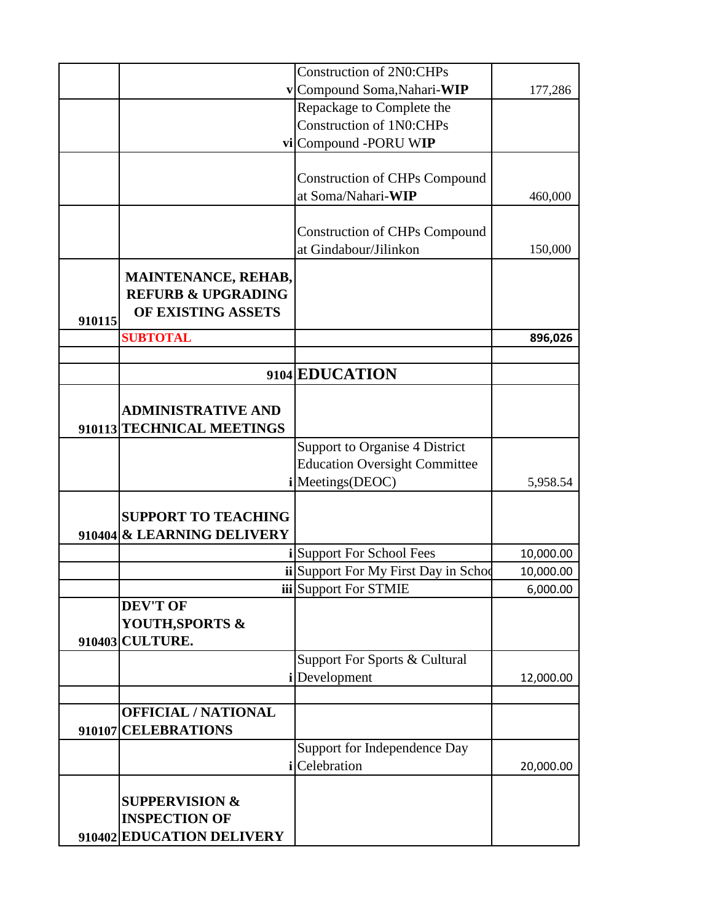|                               | <b>Construction of 2N0:CHPs</b>       |           |
|-------------------------------|---------------------------------------|-----------|
|                               | v Compound Soma, Nahari-WIP           | 177,286   |
|                               | Repackage to Complete the             |           |
|                               | <b>Construction of 1N0:CHPs</b>       |           |
|                               | vi Compound -PORU WIP                 |           |
|                               |                                       |           |
|                               | <b>Construction of CHPs Compound</b>  |           |
|                               | at Soma/Nahari-WIP                    | 460,000   |
|                               |                                       |           |
|                               | <b>Construction of CHPs Compound</b>  |           |
|                               | at Gindabour/Jilinkon                 | 150,000   |
| <b>MAINTENANCE, REHAB,</b>    |                                       |           |
| <b>REFURB &amp; UPGRADING</b> |                                       |           |
| OF EXISTING ASSETS            |                                       |           |
| 910115                        |                                       |           |
| <b>SUBTOTAL</b>               |                                       | 896,026   |
|                               |                                       |           |
|                               | 9104 EDUCATION                        |           |
|                               |                                       |           |
| <b>ADMINISTRATIVE AND</b>     |                                       |           |
| 910113 TECHNICAL MEETINGS     |                                       |           |
|                               | <b>Support to Organise 4 District</b> |           |
|                               | <b>Education Oversight Committee</b>  |           |
|                               | i Meetings (DEOC)                     | 5,958.54  |
|                               |                                       |           |
| <b>SUPPORT TO TEACHING</b>    |                                       |           |
| 910404 & LEARNING DELIVERY    |                                       |           |
|                               | i Support For School Fees             | 10,000.00 |
|                               | ii Support For My First Day in Schoo  | 10,000.00 |
|                               | iii Support For STMIE                 | 6,000.00  |
| <b>DEV'T OF</b>               |                                       |           |
| YOUTH, SPORTS &               |                                       |           |
| 910403 CULTURE.               |                                       |           |
|                               | Support For Sports & Cultural         |           |
|                               | <i>i</i> Development                  | 12,000.00 |
|                               |                                       |           |
| <b>OFFICIAL / NATIONAL</b>    |                                       |           |
| 910107 CELEBRATIONS           |                                       |           |
|                               | Support for Independence Day          |           |
|                               | <i>i</i> Celebration                  | 20,000.00 |
|                               |                                       |           |
| <b>SUPPERVISION &amp;</b>     |                                       |           |
| <b>INSPECTION OF</b>          |                                       |           |
| 910402 EDUCATION DELIVERY     |                                       |           |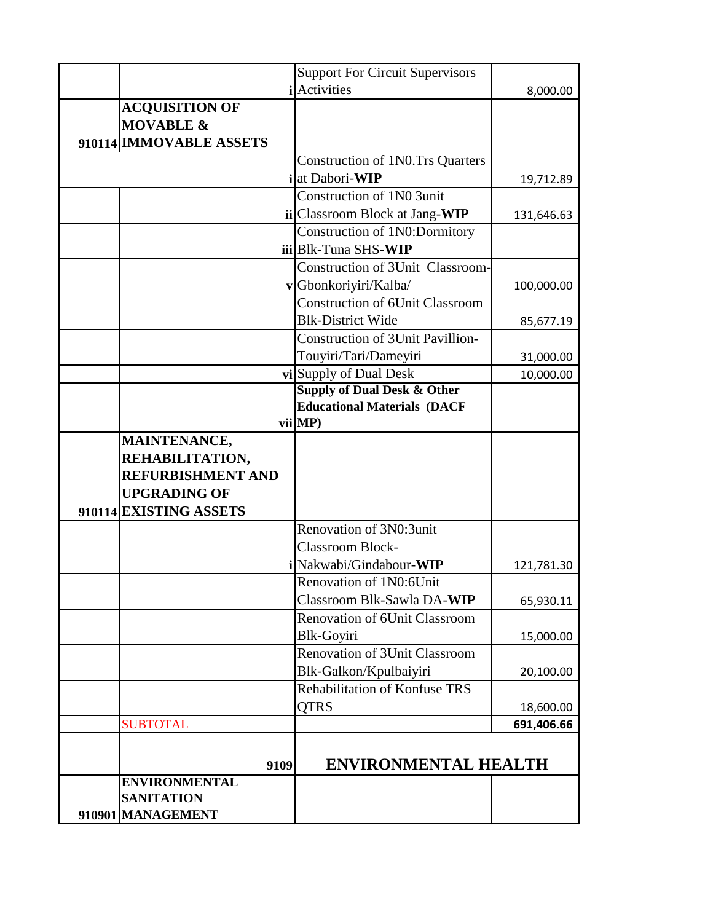|                          | <b>Support For Circuit Supervisors</b>  |            |
|--------------------------|-----------------------------------------|------------|
|                          | <i>i</i>  Activities                    | 8,000.00   |
| <b>ACQUISITION OF</b>    |                                         |            |
| <b>MOVABLE &amp;</b>     |                                         |            |
| 910114 IMMOVABLE ASSETS  |                                         |            |
|                          | <b>Construction of 1N0.Trs Quarters</b> |            |
|                          | i at Dabori-WIP                         | 19,712.89  |
|                          | Construction of 1N0 3unit               |            |
|                          | ii Classroom Block at Jang-WIP          | 131,646.63 |
|                          | Construction of 1N0:Dormitory           |            |
|                          | iii Blk-Tuna SHS-WIP                    |            |
|                          | <b>Construction of 3Unit Classroom-</b> |            |
|                          | v Gbonkoriyiri/Kalba/                   | 100,000.00 |
|                          | <b>Construction of 6Unit Classroom</b>  |            |
|                          | <b>Blk-District Wide</b>                | 85,677.19  |
|                          | <b>Construction of 3Unit Pavillion-</b> |            |
|                          | Touyiri/Tari/Dameyiri                   | 31,000.00  |
|                          | vi Supply of Dual Desk                  | 10,000.00  |
|                          | <b>Supply of Dual Desk &amp; Other</b>  |            |
|                          | <b>Educational Materials (DACF</b>      |            |
|                          | vii MP)                                 |            |
| MAINTENANCE,             |                                         |            |
| REHABILITATION,          |                                         |            |
| <b>REFURBISHMENT AND</b> |                                         |            |
| <b>UPGRADING OF</b>      |                                         |            |
| 910114 EXISTING ASSETS   |                                         |            |
|                          | Renovation of 3N0:3unit                 |            |
|                          | <b>Classroom Block-</b>                 |            |
|                          | i Nakwabi/Gindabour-WIP                 | 121,781.30 |
|                          | Renovation of 1N0:6Unit                 |            |
|                          | Classroom Blk-Sawla DA-WIP              | 65,930.11  |
|                          | Renovation of 6Unit Classroom           |            |
|                          | Blk-Goyiri                              | 15,000.00  |
|                          | <b>Renovation of 3Unit Classroom</b>    |            |
|                          | Blk-Galkon/Kpulbaiyiri                  | 20,100.00  |
|                          | Rehabilitation of Konfuse TRS           |            |
|                          | <b>OTRS</b>                             | 18,600.00  |
| <b>SUBTOTAL</b>          |                                         | 691,406.66 |
|                          |                                         |            |
| 9109                     | <b>ENVIRONMENTAL HEALTH</b>             |            |
| <b>ENVIRONMENTAL</b>     |                                         |            |
| <b>SANITATION</b>        |                                         |            |
| 910901 MANAGEMENT        |                                         |            |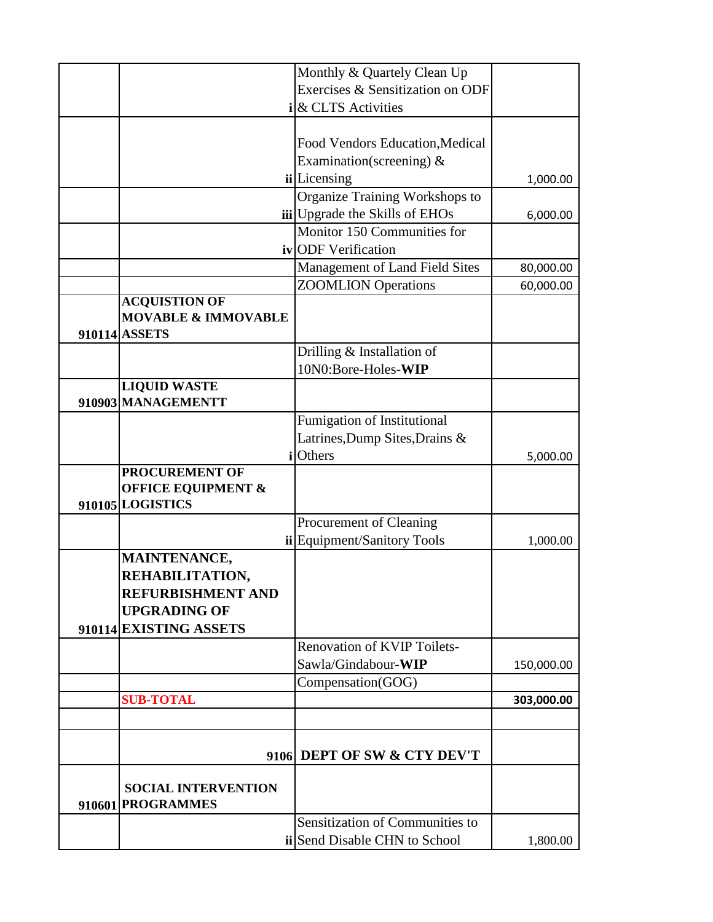|                                                 | Monthly & Quartely Clean Up          |            |
|-------------------------------------------------|--------------------------------------|------------|
|                                                 | Exercises & Sensitization on ODF     |            |
|                                                 | i & CLTS Activities                  |            |
|                                                 |                                      |            |
|                                                 | Food Vendors Education, Medical      |            |
|                                                 | Examination(screening) &             |            |
|                                                 | <b>ii</b> Licensing                  | 1,000.00   |
|                                                 | Organize Training Workshops to       |            |
|                                                 | iii Upgrade the Skills of EHOs       | 6,000.00   |
|                                                 | Monitor 150 Communities for          |            |
|                                                 | iv ODF Verification                  |            |
|                                                 | Management of Land Field Sites       | 80,000.00  |
|                                                 | <b>ZOOMLION</b> Operations           | 60,000.00  |
| <b>ACQUISTION OF</b>                            |                                      |            |
| <b>MOVABLE &amp; IMMOVABLE</b>                  |                                      |            |
| 910114 ASSETS                                   |                                      |            |
|                                                 | Drilling & Installation of           |            |
|                                                 | 10N0:Bore-Holes-WIP                  |            |
| <b>LIQUID WASTE</b>                             |                                      |            |
| 910903 MANAGEMENTT                              |                                      |            |
|                                                 | <b>Fumigation of Institutional</b>   |            |
|                                                 | Latrines, Dump Sites, Drains &       |            |
|                                                 | ilOthers                             | 5,000.00   |
| <b>PROCUREMENT OF</b>                           |                                      |            |
| <b>OFFICE EQUIPMENT &amp;</b>                   |                                      |            |
| 910105 LOGISTICS                                |                                      |            |
|                                                 | Procurement of Cleaning              |            |
|                                                 | ii Equipment/Sanitory Tools          | 1,000.00   |
| MAINTENANCE,                                    |                                      |            |
| REHABILITATION,<br><b>REFURBISHMENT AND</b>     |                                      |            |
| <b>UPGRADING OF</b>                             |                                      |            |
| 910114 EXISTING ASSETS                          |                                      |            |
|                                                 | <b>Renovation of KVIP Toilets-</b>   |            |
|                                                 | Sawla/Gindabour-WIP                  |            |
|                                                 |                                      | 150,000.00 |
|                                                 | Compensation(GOG)                    |            |
| <b>SUB-TOTAL</b>                                |                                      | 303,000.00 |
|                                                 |                                      |            |
|                                                 | 9106 DEPT OF SW & CTY DEV'T          |            |
| <b>SOCIAL INTERVENTION</b><br>910601 PROGRAMMES |                                      |            |
|                                                 | Sensitization of Communities to      |            |
|                                                 | <b>ii</b> Send Disable CHN to School | 1,800.00   |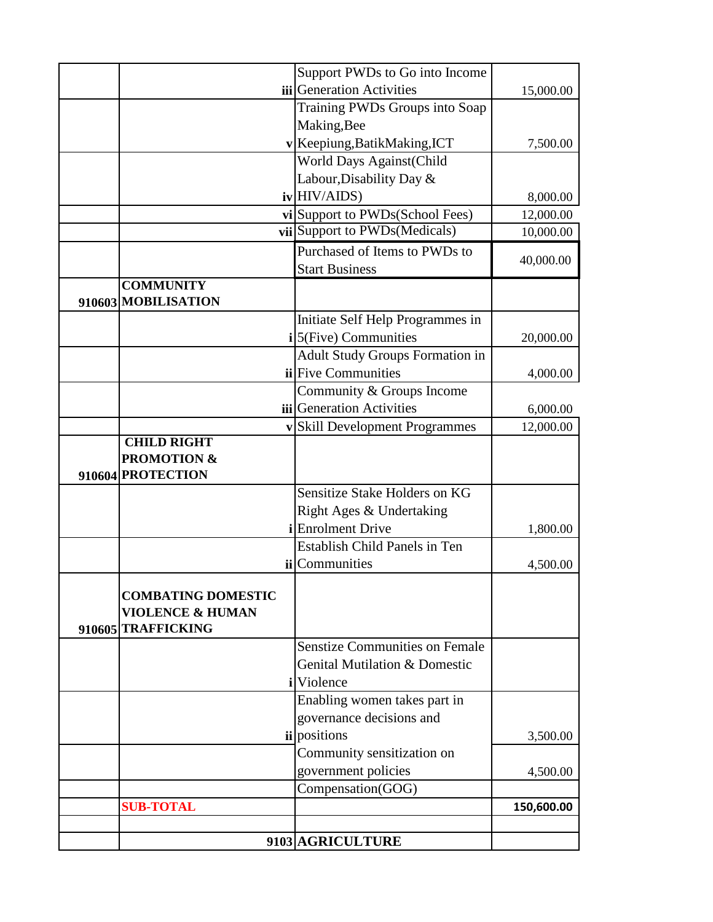|                                                                                | Support PWDs to Go into Income                       |            |
|--------------------------------------------------------------------------------|------------------------------------------------------|------------|
|                                                                                | <b>iii</b> Generation Activities                     | 15,000.00  |
|                                                                                | Training PWDs Groups into Soap                       |            |
|                                                                                | Making, Bee                                          |            |
|                                                                                | v Keepiung, Batik Making, ICT                        | 7,500.00   |
|                                                                                | <b>World Days Against (Child</b>                     |            |
|                                                                                | Labour, Disability Day &                             |            |
|                                                                                | $iv$ HIV/AIDS)                                       | 8,000.00   |
|                                                                                | vi Support to PWDs(School Fees)                      | 12,000.00  |
|                                                                                | vii Support to PWDs(Medicals)                        | 10,000.00  |
|                                                                                | Purchased of Items to PWDs to                        |            |
|                                                                                | <b>Start Business</b>                                | 40,000.00  |
| <b>COMMUNITY</b><br>910603 MOBILISATION                                        |                                                      |            |
|                                                                                | Initiate Self Help Programmes in                     |            |
|                                                                                | $i$ 5(Five) Communities                              | 20,000.00  |
|                                                                                | Adult Study Groups Formation in                      |            |
|                                                                                | ii Five Communities                                  | 4,000.00   |
|                                                                                | Community & Groups Income                            |            |
|                                                                                | iii Generation Activities                            | 6,000.00   |
|                                                                                | v Skill Development Programmes                       | 12,000.00  |
| <b>CHILD RIGHT</b>                                                             |                                                      |            |
| <b>PROMOTION &amp;</b>                                                         |                                                      |            |
| 910604 PROTECTION                                                              | Sensitize Stake Holders on KG                        |            |
|                                                                                |                                                      |            |
|                                                                                | Right Ages & Undertaking<br><i>i</i> Enrolment Drive |            |
|                                                                                | <b>Establish Child Panels in Ten</b>                 | 1,800.00   |
|                                                                                | <b>ii</b> Communities                                |            |
|                                                                                |                                                      | 4,500.00   |
| <b>COMBATING DOMESTIC</b><br><b>VIOLENCE &amp; HUMAN</b><br>910605 TRAFFICKING |                                                      |            |
|                                                                                | <b>Senstize Communities on Female</b>                |            |
|                                                                                | <b>Genital Mutilation &amp; Domestic</b>             |            |
|                                                                                | <i>i</i> Violence                                    |            |
|                                                                                | Enabling women takes part in                         |            |
|                                                                                | governance decisions and                             |            |
|                                                                                | <i>ii</i> positions                                  | 3,500.00   |
|                                                                                | Community sensitization on                           |            |
|                                                                                | government policies                                  | 4,500.00   |
|                                                                                | Compensation(GOG)                                    |            |
| <b>SUB-TOTAL</b>                                                               |                                                      | 150,600.00 |
|                                                                                |                                                      |            |
|                                                                                | 9103 AGRICULTURE                                     |            |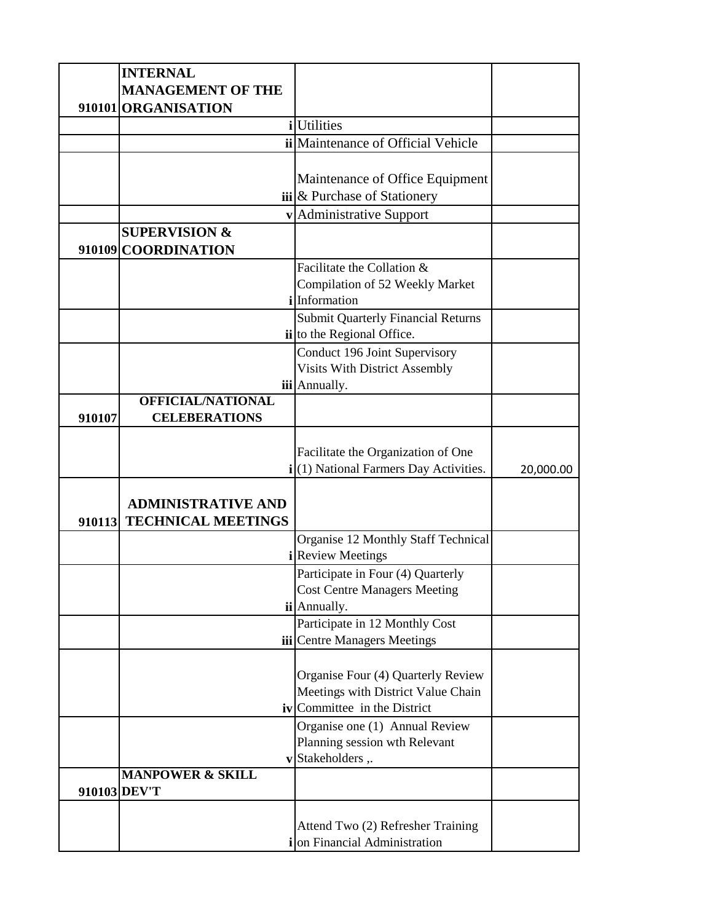| <b>INTERNAL</b><br><b>MANAGEMENT OF THE</b>         |                                                                         |           |
|-----------------------------------------------------|-------------------------------------------------------------------------|-----------|
|                                                     |                                                                         |           |
| 910101 ORGANISATION                                 |                                                                         |           |
|                                                     | <i>i</i> Utilities                                                      |           |
|                                                     | ii Maintenance of Official Vehicle                                      |           |
|                                                     |                                                                         |           |
|                                                     | Maintenance of Office Equipment                                         |           |
|                                                     | $\left  \mathbf{a} \right $ & Purchase of Stationery                    |           |
|                                                     | v Administrative Support                                                |           |
| <b>SUPERVISION &amp;</b><br>910109 COORDINATION     |                                                                         |           |
|                                                     | Facilitate the Collation &                                              |           |
|                                                     | Compilation of 52 Weekly Market                                         |           |
|                                                     | ilInformation                                                           |           |
|                                                     | <b>Submit Quarterly Financial Returns</b><br>ii to the Regional Office. |           |
|                                                     | Conduct 196 Joint Supervisory                                           |           |
|                                                     | <b>Visits With District Assembly</b>                                    |           |
|                                                     | iii Annually.                                                           |           |
| OFFICIAL/NATIONAL<br><b>CELEBERATIONS</b><br>910107 |                                                                         |           |
|                                                     |                                                                         |           |
|                                                     | Facilitate the Organization of One                                      |           |
|                                                     | i(1) National Farmers Day Activities.                                   | 20,000.00 |
|                                                     |                                                                         |           |
| <b>ADMINISTRATIVE AND</b>                           |                                                                         |           |
| 910113 TECHNICAL MEETINGS                           |                                                                         |           |
|                                                     | Organise 12 Monthly Staff Technical                                     |           |
|                                                     | <b>Review Meetings</b>                                                  |           |
|                                                     | Participate in Four (4) Quarterly                                       |           |
|                                                     | <b>Cost Centre Managers Meeting</b>                                     |           |
|                                                     | ii Annually.                                                            |           |
|                                                     | Participate in 12 Monthly Cost                                          |           |
|                                                     | iii Centre Managers Meetings                                            |           |
|                                                     |                                                                         |           |
|                                                     | Organise Four (4) Quarterly Review                                      |           |
|                                                     | Meetings with District Value Chain                                      |           |
|                                                     | <b>iv</b> Committee in the District                                     |           |
|                                                     | Organise one (1) Annual Review                                          |           |
|                                                     | Planning session wth Relevant                                           |           |
|                                                     | v Stakeholders,.                                                        |           |
| <b>MANPOWER &amp; SKILL</b>                         |                                                                         |           |
| 910103 DEV'T                                        |                                                                         |           |
|                                                     |                                                                         |           |
|                                                     | Attend Two (2) Refresher Training<br>ion Financial Administration       |           |
|                                                     |                                                                         |           |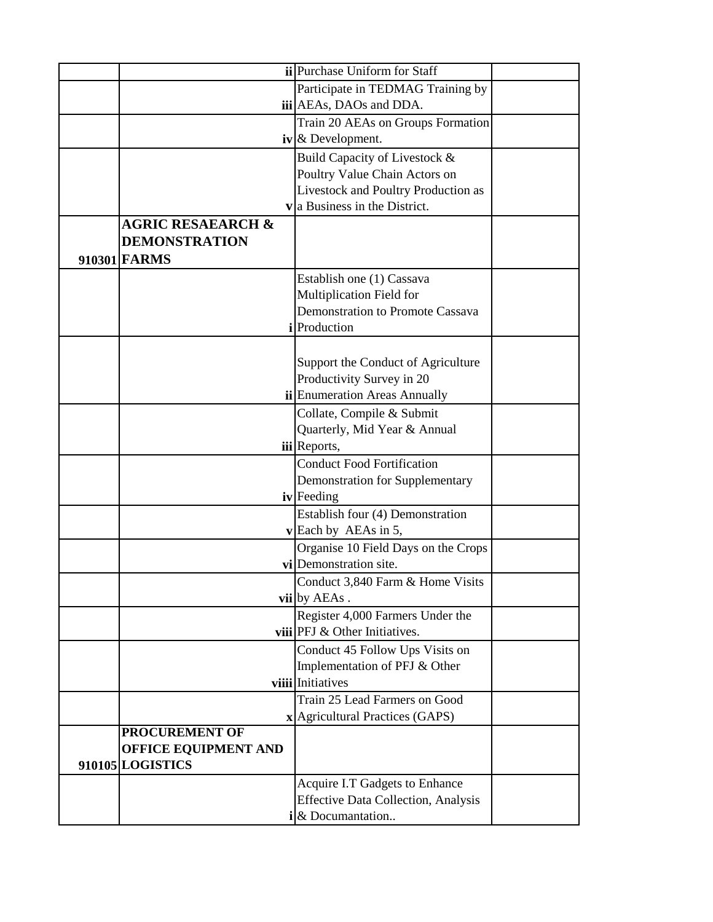|                              | ii Purchase Uniform for Staff              |  |
|------------------------------|--------------------------------------------|--|
|                              |                                            |  |
|                              | Participate in TEDMAG Training by          |  |
|                              | iii AEAs, DAOs and DDA.                    |  |
|                              | Train 20 AEAs on Groups Formation          |  |
|                              | $\mathbf{i}\mathbf{v}$ & Development.      |  |
|                              | Build Capacity of Livestock &              |  |
|                              | Poultry Value Chain Actors on              |  |
|                              | Livestock and Poultry Production as        |  |
|                              | $\mathbf{v}$ a Business in the District.   |  |
| <b>AGRIC RESAEARCH &amp;</b> |                                            |  |
| <b>DEMONSTRATION</b>         |                                            |  |
| 910301 FARMS                 |                                            |  |
|                              | Establish one (1) Cassava                  |  |
|                              | Multiplication Field for                   |  |
|                              | Demonstration to Promote Cassava           |  |
|                              | <i>i</i> Production                        |  |
|                              |                                            |  |
|                              | Support the Conduct of Agriculture         |  |
|                              | Productivity Survey in 20                  |  |
|                              | <b>ii</b> Enumeration Areas Annually       |  |
|                              | Collate, Compile & Submit                  |  |
|                              | Quarterly, Mid Year & Annual               |  |
|                              | iii Reports,                               |  |
|                              |                                            |  |
|                              | <b>Conduct Food Fortification</b>          |  |
|                              | Demonstration for Supplementary            |  |
|                              | iv Feeding                                 |  |
|                              | Establish four (4) Demonstration           |  |
|                              | $\mathbf{v}$ Each by AEAs in 5,            |  |
|                              | Organise 10 Field Days on the Crops        |  |
|                              | vi Demonstration site.                     |  |
|                              | Conduct 3,840 Farm & Home Visits           |  |
|                              | vii by AEAs.                               |  |
|                              | Register 4,000 Farmers Under the           |  |
|                              | viii PFJ & Other Initiatives.              |  |
|                              | Conduct 45 Follow Ups Visits on            |  |
|                              | Implementation of PFJ & Other              |  |
|                              | viiii Initiatives                          |  |
|                              | Train 25 Lead Farmers on Good              |  |
|                              | x Agricultural Practices (GAPS)            |  |
| PROCUREMENT OF               |                                            |  |
| <b>OFFICE EQUIPMENT AND</b>  |                                            |  |
| 910105 LOGISTICS             |                                            |  |
|                              | Acquire I.T Gadgets to Enhance             |  |
|                              | <b>Effective Data Collection, Analysis</b> |  |
|                              | $i\&$ Documantation                        |  |
|                              |                                            |  |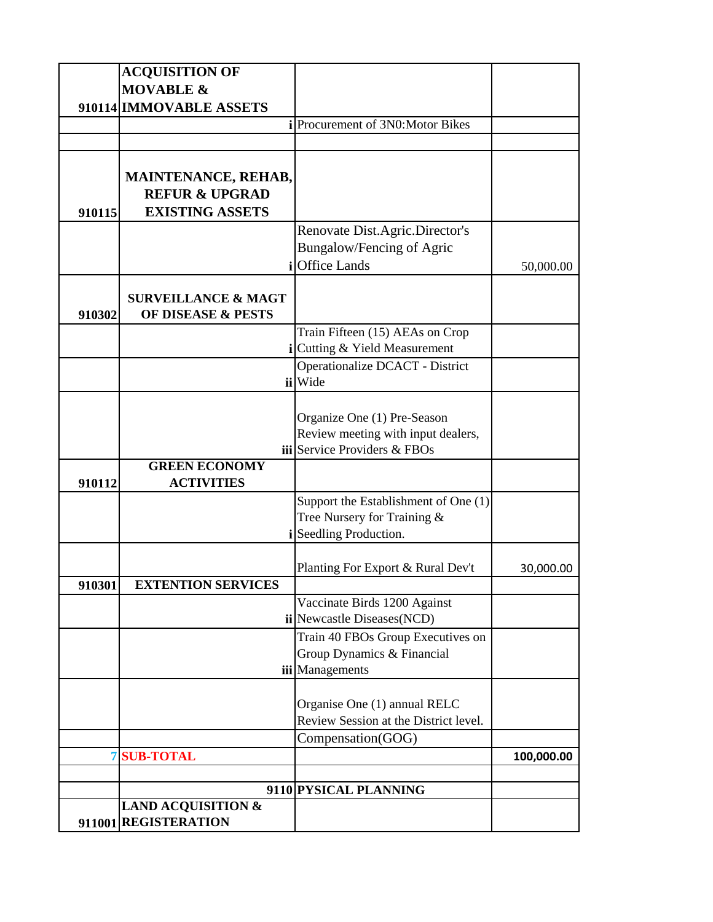|        | <b>ACQUISITION OF</b><br><b>MOVABLE &amp;</b>                                     |                                                                                                          |            |
|--------|-----------------------------------------------------------------------------------|----------------------------------------------------------------------------------------------------------|------------|
|        | 910114 IMMOVABLE ASSETS                                                           |                                                                                                          |            |
|        |                                                                                   | Procurement of 3N0:Motor Bikes                                                                           |            |
|        |                                                                                   |                                                                                                          |            |
| 910115 | <b>MAINTENANCE, REHAB,</b><br><b>REFUR &amp; UPGRAD</b><br><b>EXISTING ASSETS</b> |                                                                                                          |            |
|        |                                                                                   | Renovate Dist.Agric.Director's<br><b>Bungalow/Fencing of Agric</b>                                       |            |
|        | <b>SURVEILLANCE &amp; MAGT</b>                                                    | <b>Office Lands</b>                                                                                      | 50,000.00  |
| 910302 | <b>OF DISEASE &amp; PESTS</b>                                                     | Train Fifteen (15) AEAs on Crop<br>i Cutting & Yield Measurement<br>Operationalize DCACT - District      |            |
|        |                                                                                   | ii Wide                                                                                                  |            |
|        |                                                                                   | Organize One (1) Pre-Season<br>Review meeting with input dealers,<br><b>iii</b> Service Providers & FBOs |            |
| 910112 | <b>GREEN ECONOMY</b><br><b>ACTIVITIES</b>                                         |                                                                                                          |            |
|        |                                                                                   | Support the Establishment of One (1)<br>Tree Nursery for Training &<br>Seedling Production.              |            |
| 910301 | <b>EXTENTION SERVICES</b>                                                         | Planting For Export & Rural Dev't                                                                        | 30,000.00  |
|        |                                                                                   | Vaccinate Birds 1200 Against<br>ii Newcastle Diseases (NCD)                                              |            |
|        |                                                                                   | Train 40 FBOs Group Executives on<br>Group Dynamics & Financial<br>iii Managements                       |            |
|        |                                                                                   | Organise One (1) annual RELC<br>Review Session at the District level.                                    |            |
|        |                                                                                   | Compensation(GOG)                                                                                        |            |
| 7      | <b>SUB-TOTAL</b>                                                                  |                                                                                                          | 100,000.00 |
|        |                                                                                   |                                                                                                          |            |
|        | <b>LAND ACQUISITION &amp;</b><br>911001 REGISTERATION                             | 9110 PYSICAL PLANNING                                                                                    |            |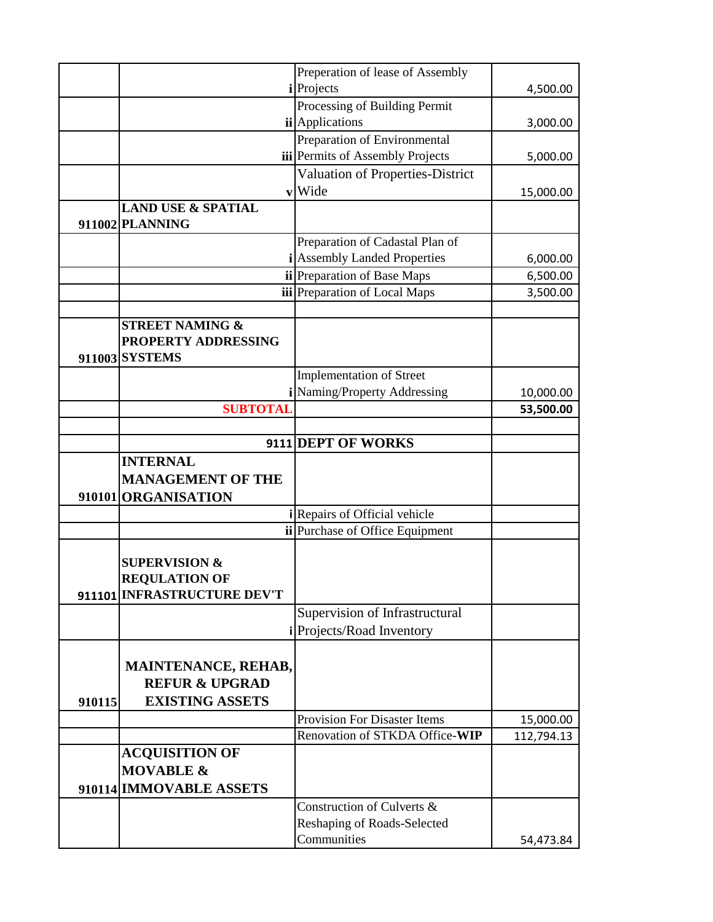|        |                               | Preperation of lease of Assembly       |            |
|--------|-------------------------------|----------------------------------------|------------|
|        |                               | <i>i</i> Projects                      | 4,500.00   |
|        |                               | Processing of Building Permit          |            |
|        |                               | <i>ii</i> Applications                 | 3,000.00   |
|        |                               | Preparation of Environmental           |            |
|        |                               | iii Permits of Assembly Projects       | 5,000.00   |
|        |                               | Valuation of Properties-District       |            |
|        |                               | vWide                                  | 15,000.00  |
|        | <b>LAND USE &amp; SPATIAL</b> |                                        |            |
|        | 911002 PLANNING               |                                        |            |
|        |                               | Preparation of Cadastal Plan of        |            |
|        |                               | <b>i</b> Assembly Landed Properties    | 6,000.00   |
|        |                               | ii Preparation of Base Maps            | 6,500.00   |
|        |                               | iii Preparation of Local Maps          | 3,500.00   |
|        |                               |                                        |            |
|        | <b>STREET NAMING &amp;</b>    |                                        |            |
|        | PROPERTY ADDRESSING           |                                        |            |
|        | 911003 SYSTEMS                |                                        |            |
|        |                               | <b>Implementation of Street</b>        |            |
|        |                               | Naming/Property Addressing             | 10,000.00  |
|        | <b>SUBTOTAI</b>               |                                        | 53,500.00  |
|        |                               |                                        |            |
|        |                               | 9111 DEPT OF WORKS                     |            |
|        | <b>INTERNAL</b>               |                                        |            |
|        | <b>MANAGEMENT OF THE</b>      |                                        |            |
|        | 910101 ORGANISATION           |                                        |            |
|        |                               | <i>i</i> Repairs of Official vehicle   |            |
|        |                               | <b>ii</b> Purchase of Office Equipment |            |
|        |                               |                                        |            |
|        | <b>SUPERVISION &amp;</b>      |                                        |            |
|        | <b>REQULATION OF</b>          |                                        |            |
|        | 911101 INFRASTRUCTURE DEV'T   |                                        |            |
|        |                               | Supervision of Infrastructural         |            |
|        |                               | Projects/Road Inventory                |            |
|        |                               |                                        |            |
|        | <b>MAINTENANCE, REHAB,</b>    |                                        |            |
|        | <b>REFUR &amp; UPGRAD</b>     |                                        |            |
| 910115 | <b>EXISTING ASSETS</b>        |                                        |            |
|        |                               | <b>Provision For Disaster Items</b>    |            |
|        |                               | Renovation of STKDA Office-WIP         | 15,000.00  |
|        |                               |                                        | 112,794.13 |
|        | <b>ACQUISITION OF</b>         |                                        |            |
|        | <b>MOVABLE &amp;</b>          |                                        |            |
|        | 910114 IMMOVABLE ASSETS       |                                        |            |
|        |                               | Construction of Culverts &             |            |
|        |                               | Reshaping of Roads-Selected            |            |
|        |                               | Communities                            | 54,473.84  |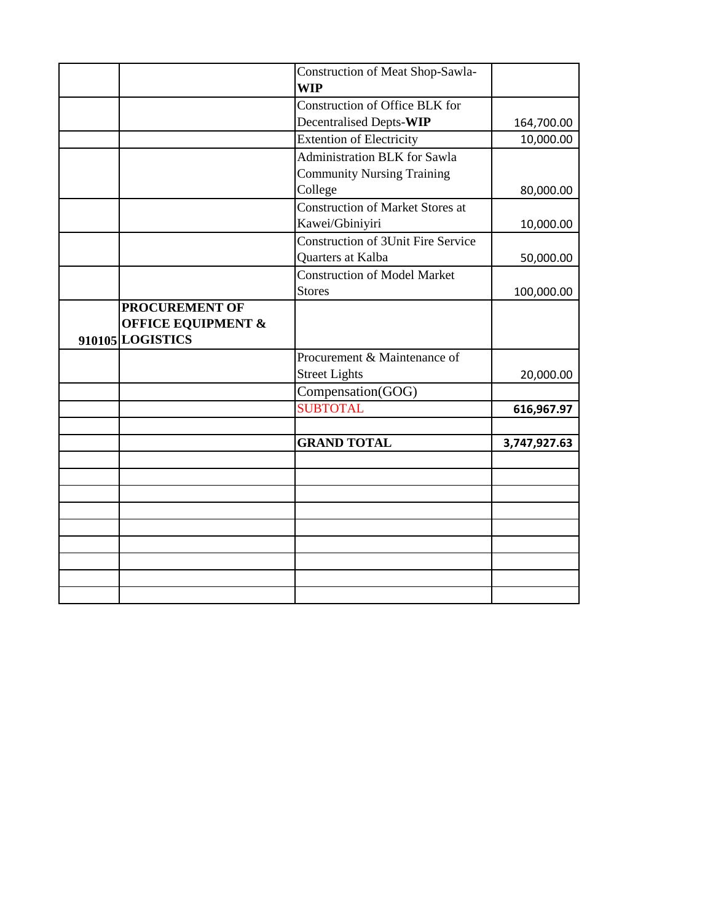|                                                                            | <b>Construction of Meat Shop-Sawla-</b><br><b>WIP</b>                    |              |
|----------------------------------------------------------------------------|--------------------------------------------------------------------------|--------------|
|                                                                            | Construction of Office BLK for                                           |              |
|                                                                            | Decentralised Depts-WIP                                                  | 164,700.00   |
|                                                                            | <b>Extention of Electricity</b>                                          | 10,000.00    |
|                                                                            | <b>Administration BLK</b> for Sawla<br><b>Community Nursing Training</b> |              |
|                                                                            | College                                                                  | 80,000.00    |
|                                                                            | <b>Construction of Market Stores at</b>                                  |              |
|                                                                            | Kawei/Gbiniyiri                                                          | 10,000.00    |
|                                                                            | Construction of 3Unit Fire Service<br>Quarters at Kalba                  | 50,000.00    |
|                                                                            | Construction of Model Market                                             |              |
|                                                                            | <b>Stores</b>                                                            | 100,000.00   |
| <b>PROCUREMENT OF</b><br><b>OFFICE EQUIPMENT &amp;</b><br>910105 LOGISTICS |                                                                          |              |
|                                                                            | Procurement & Maintenance of                                             |              |
|                                                                            | <b>Street Lights</b>                                                     | 20,000.00    |
|                                                                            | Compensation(GOG)                                                        |              |
|                                                                            | <b>SUBTOTAL</b>                                                          | 616,967.97   |
|                                                                            | <b>GRAND TOTAL</b>                                                       | 3,747,927.63 |
|                                                                            |                                                                          |              |
|                                                                            |                                                                          |              |
|                                                                            |                                                                          |              |
|                                                                            |                                                                          |              |
|                                                                            |                                                                          |              |
|                                                                            |                                                                          |              |
|                                                                            |                                                                          |              |
|                                                                            |                                                                          |              |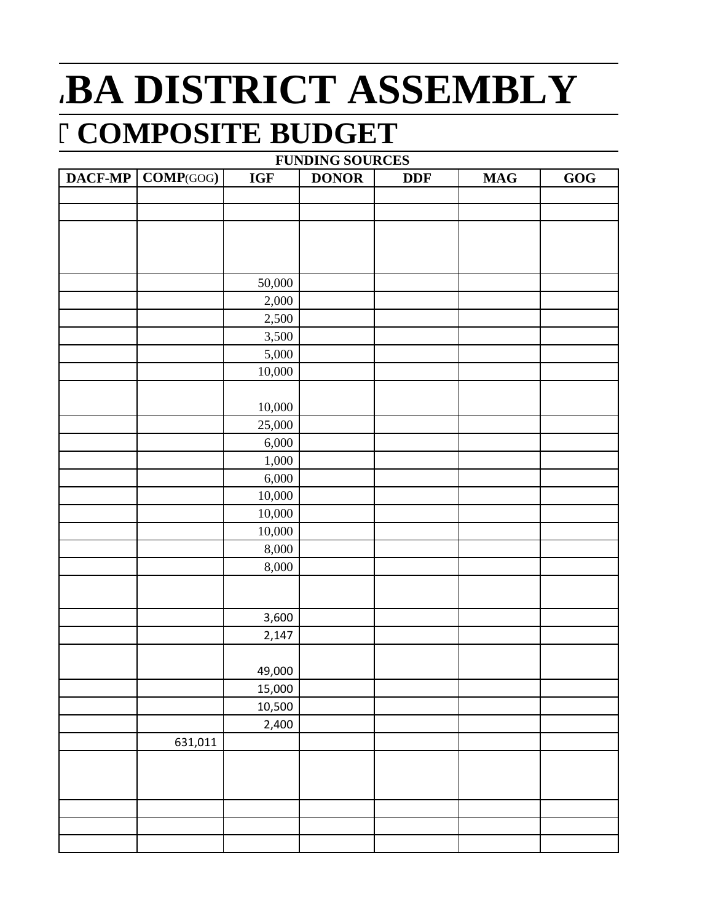## **BA DISTRICT ASSEMBLY 7 COMPOSITE BUDGET**

| <b>FUNDING SOURCES</b> |           |            |              |            |                |                             |  |
|------------------------|-----------|------------|--------------|------------|----------------|-----------------------------|--|
| DACF-MP                | COMP(GOG) | <b>IGF</b> | <b>DONOR</b> | <b>DDF</b> | $\mathbf{MAG}$ | $\underline{G}\overline{G}$ |  |
|                        |           |            |              |            |                |                             |  |
|                        |           |            |              |            |                |                             |  |
|                        |           |            |              |            |                |                             |  |
|                        |           |            |              |            |                |                             |  |
|                        |           |            |              |            |                |                             |  |
|                        |           | 50,000     |              |            |                |                             |  |
|                        |           | 2,000      |              |            |                |                             |  |
|                        |           | 2,500      |              |            |                |                             |  |
|                        |           | 3,500      |              |            |                |                             |  |
|                        |           | 5,000      |              |            |                |                             |  |
|                        |           | 10,000     |              |            |                |                             |  |
|                        |           |            |              |            |                |                             |  |
|                        |           | 10,000     |              |            |                |                             |  |
|                        |           | 25,000     |              |            |                |                             |  |
|                        |           | 6,000      |              |            |                |                             |  |
|                        |           | 1,000      |              |            |                |                             |  |
|                        |           | 6,000      |              |            |                |                             |  |
|                        |           | 10,000     |              |            |                |                             |  |
|                        |           | 10,000     |              |            |                |                             |  |
|                        |           | 10,000     |              |            |                |                             |  |
|                        |           | 8,000      |              |            |                |                             |  |
|                        |           | 8,000      |              |            |                |                             |  |
|                        |           |            |              |            |                |                             |  |
|                        |           |            |              |            |                |                             |  |
|                        |           | 3,600      |              |            |                |                             |  |
|                        |           | 2,147      |              |            |                |                             |  |
|                        |           |            |              |            |                |                             |  |
|                        |           | 49,000     |              |            |                |                             |  |
|                        |           | 15,000     |              |            |                |                             |  |
|                        |           | 10,500     |              |            |                |                             |  |
|                        |           | 2,400      |              |            |                |                             |  |
|                        | 631,011   |            |              |            |                |                             |  |
|                        |           |            |              |            |                |                             |  |
|                        |           |            |              |            |                |                             |  |
|                        |           |            |              |            |                |                             |  |
|                        |           |            |              |            |                |                             |  |
|                        |           |            |              |            |                |                             |  |
|                        |           |            |              |            |                |                             |  |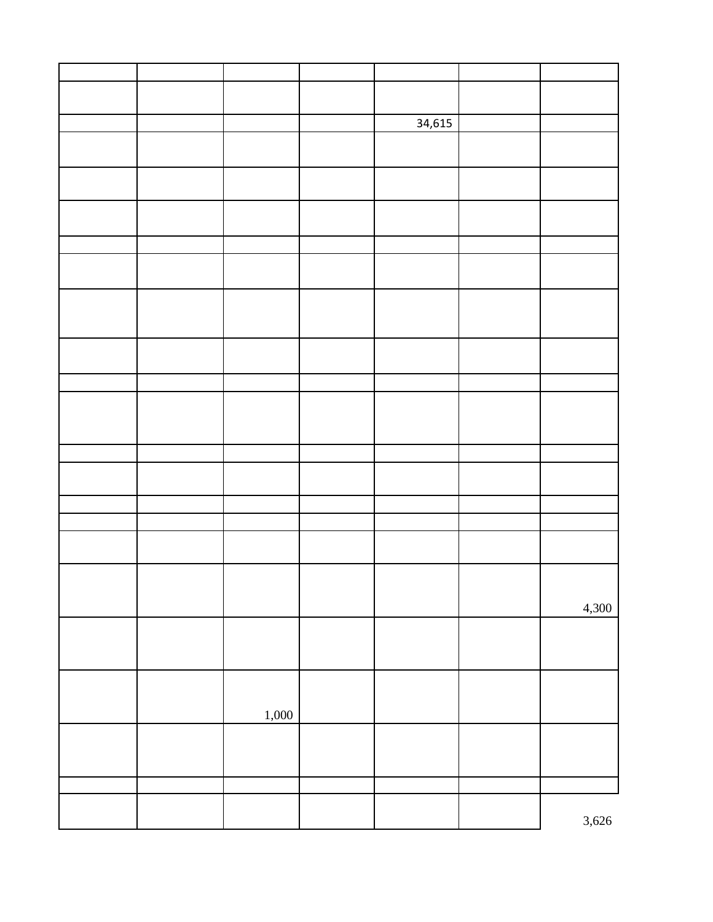|  |       | 34,615 |       |
|--|-------|--------|-------|
|  |       |        |       |
|  |       |        |       |
|  |       |        |       |
|  |       |        |       |
|  |       |        |       |
|  |       |        |       |
|  |       |        |       |
|  |       |        |       |
|  |       |        |       |
|  |       |        |       |
|  |       |        |       |
|  |       |        |       |
|  |       |        |       |
|  |       |        |       |
|  |       |        |       |
|  |       |        |       |
|  |       |        |       |
|  |       |        |       |
|  |       |        |       |
|  |       |        |       |
|  |       |        |       |
|  |       |        |       |
|  |       |        |       |
|  |       |        |       |
|  |       |        |       |
|  |       |        |       |
|  |       |        | 4,300 |
|  |       |        |       |
|  |       |        |       |
|  |       |        |       |
|  |       |        |       |
|  |       |        |       |
|  | 1,000 |        |       |
|  |       |        |       |
|  |       |        |       |
|  |       |        |       |
|  |       |        |       |
|  |       |        | 3,626 |
|  |       |        |       |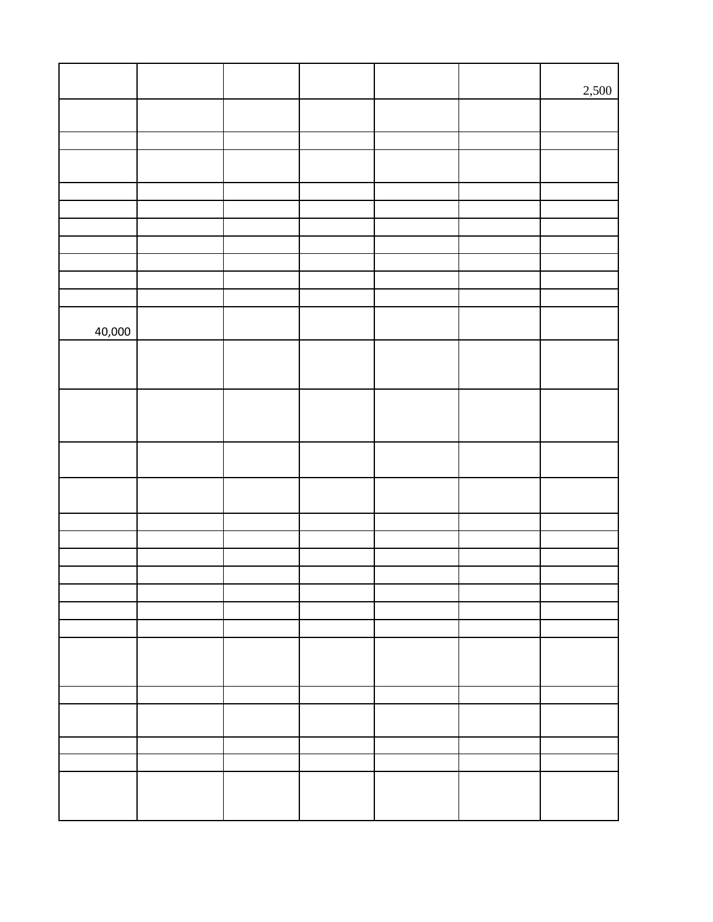|        |  |  | 2,500 |
|--------|--|--|-------|
|        |  |  |       |
|        |  |  |       |
|        |  |  |       |
|        |  |  |       |
|        |  |  |       |
|        |  |  |       |
|        |  |  |       |
|        |  |  |       |
|        |  |  |       |
|        |  |  |       |
| 40,000 |  |  |       |
|        |  |  |       |
|        |  |  |       |
|        |  |  |       |
|        |  |  |       |
|        |  |  |       |
|        |  |  |       |
|        |  |  |       |
|        |  |  |       |
|        |  |  |       |
|        |  |  |       |
|        |  |  |       |
|        |  |  |       |
|        |  |  |       |
|        |  |  |       |
|        |  |  |       |
|        |  |  |       |
|        |  |  |       |
|        |  |  |       |
|        |  |  |       |
|        |  |  |       |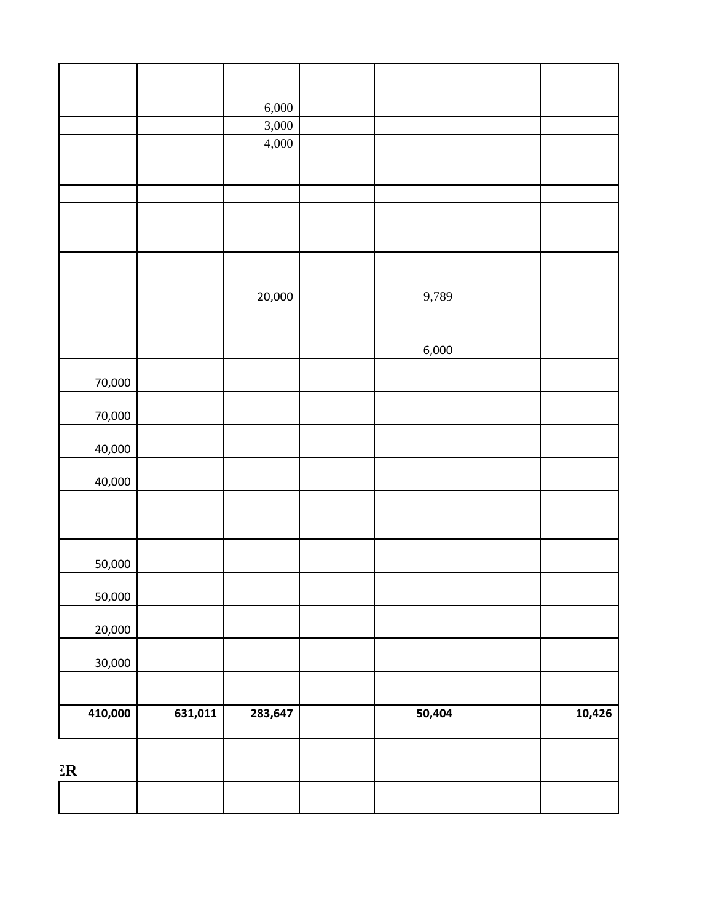| $\mathbb{E} \mathbb{R}$ |         |                |        |        |
|-------------------------|---------|----------------|--------|--------|
| 410,000                 | 631,011 | 283,647        | 50,404 | 10,426 |
|                         |         |                |        |        |
| 30,000                  |         |                |        |        |
| 20,000                  |         |                |        |        |
| 50,000                  |         |                |        |        |
| 50,000                  |         |                |        |        |
|                         |         |                |        |        |
| 40,000                  |         |                |        |        |
| 40,000                  |         |                |        |        |
| 70,000                  |         |                |        |        |
| 70,000                  |         |                |        |        |
|                         |         |                | 6,000  |        |
|                         |         |                |        |        |
|                         |         | 20,000         | 9,789  |        |
|                         |         |                |        |        |
|                         |         |                |        |        |
|                         |         |                |        |        |
|                         |         | 4,000          |        |        |
|                         |         | 6,000<br>3,000 |        |        |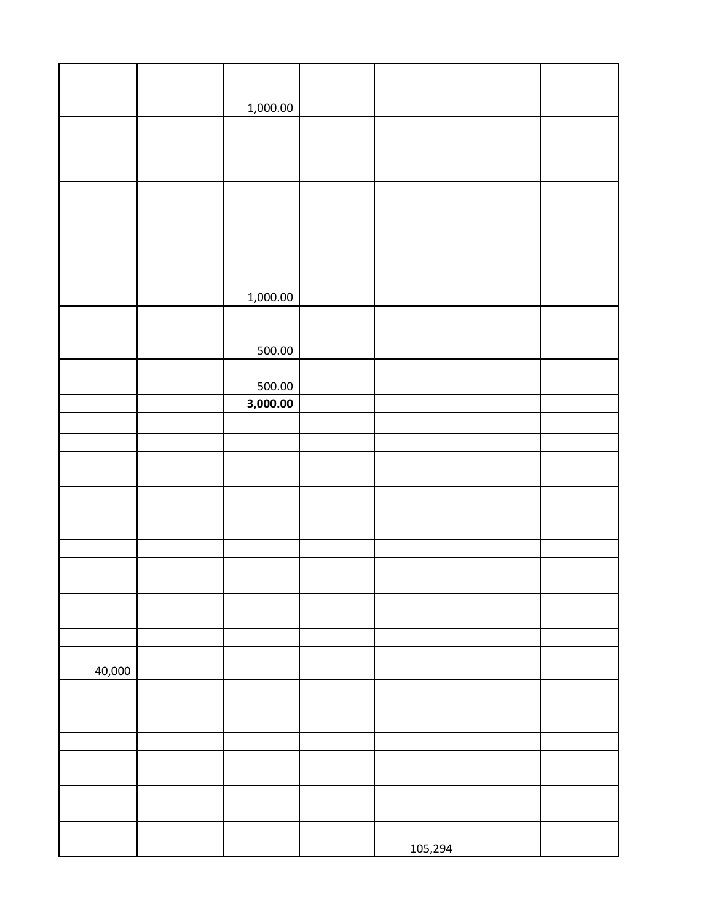|        | 1,000.00           |         |  |  |
|--------|--------------------|---------|--|--|
|        |                    |         |  |  |
|        |                    |         |  |  |
|        |                    |         |  |  |
|        |                    |         |  |  |
|        |                    |         |  |  |
|        |                    |         |  |  |
|        | 1,000.00           |         |  |  |
|        |                    |         |  |  |
|        | 500.00             |         |  |  |
|        |                    |         |  |  |
|        | 500.00<br>3,000.00 |         |  |  |
|        |                    |         |  |  |
|        |                    |         |  |  |
|        |                    |         |  |  |
|        |                    |         |  |  |
|        |                    |         |  |  |
|        |                    |         |  |  |
|        |                    |         |  |  |
|        |                    |         |  |  |
|        |                    |         |  |  |
|        |                    |         |  |  |
| 40,000 |                    |         |  |  |
|        |                    |         |  |  |
|        |                    |         |  |  |
|        |                    |         |  |  |
|        |                    |         |  |  |
|        |                    |         |  |  |
|        |                    |         |  |  |
|        |                    | 105,294 |  |  |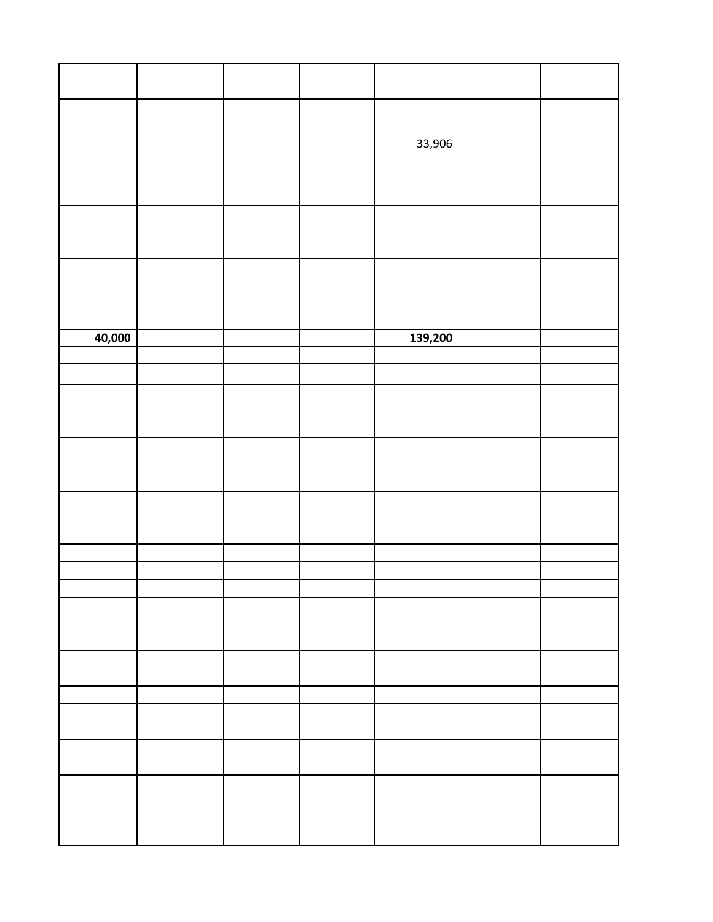|        |  | 33,906  |  |
|--------|--|---------|--|
|        |  |         |  |
|        |  |         |  |
|        |  |         |  |
| 40,000 |  | 139,200 |  |
|        |  |         |  |
|        |  |         |  |
|        |  |         |  |
|        |  |         |  |
|        |  |         |  |
|        |  |         |  |
|        |  |         |  |
|        |  |         |  |
|        |  |         |  |
|        |  |         |  |
|        |  |         |  |
|        |  |         |  |
|        |  |         |  |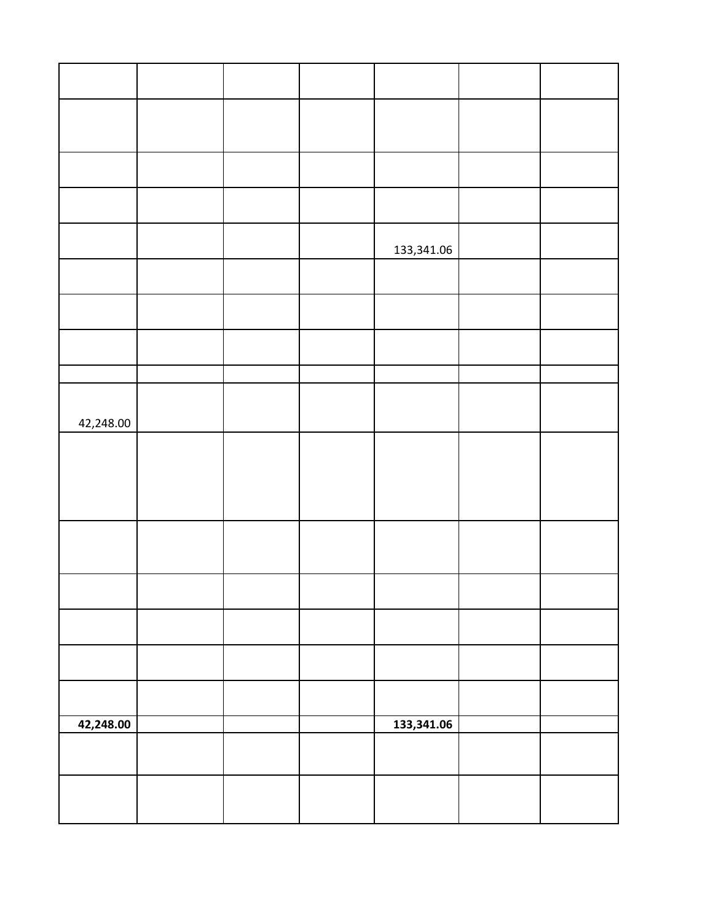|           |  | 133,341.06 |  |
|-----------|--|------------|--|
|           |  |            |  |
|           |  |            |  |
|           |  |            |  |
|           |  |            |  |
| 42,248.00 |  |            |  |
|           |  |            |  |
|           |  |            |  |
|           |  |            |  |
|           |  |            |  |
|           |  |            |  |
|           |  |            |  |
|           |  |            |  |
|           |  |            |  |
|           |  |            |  |
| 42,248.00 |  | 133,341.06 |  |
|           |  |            |  |
|           |  |            |  |
|           |  |            |  |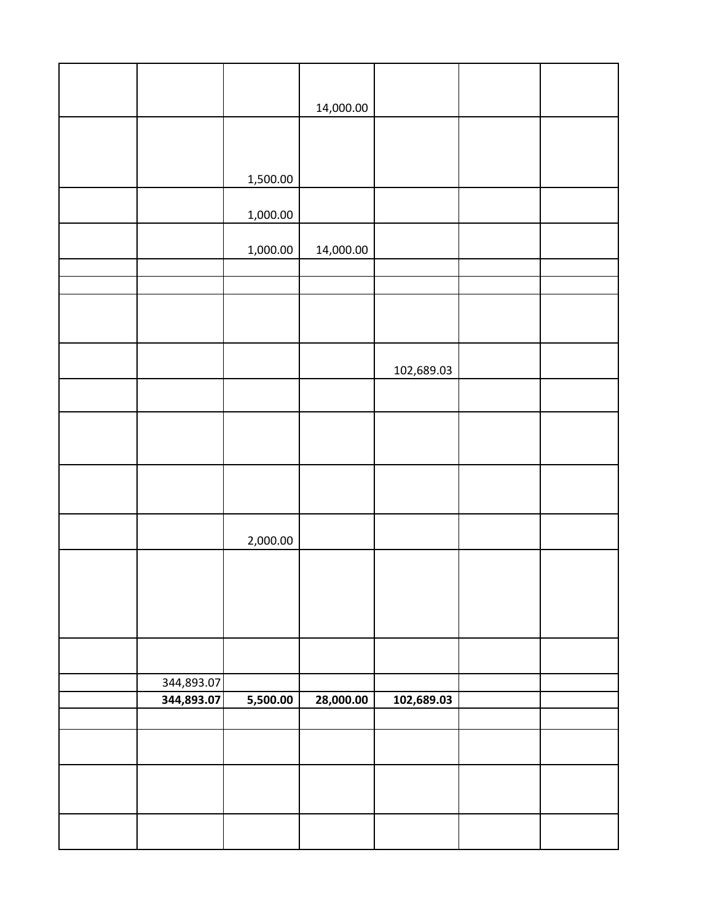|            |          | 14,000.00 |            |  |
|------------|----------|-----------|------------|--|
|            |          |           |            |  |
|            |          |           |            |  |
|            | 1,500.00 |           |            |  |
|            | 1,000.00 |           |            |  |
|            | 1,000.00 | 14,000.00 |            |  |
|            |          |           |            |  |
|            |          |           |            |  |
|            |          |           |            |  |
|            |          |           | 102,689.03 |  |
|            |          |           |            |  |
|            |          |           |            |  |
|            |          |           |            |  |
|            |          |           |            |  |
|            |          |           |            |  |
|            | 2,000.00 |           |            |  |
|            |          |           |            |  |
|            |          |           |            |  |
|            |          |           |            |  |
|            |          |           |            |  |
| 344,893.07 |          |           |            |  |
| 344,893.07 | 5,500.00 | 28,000.00 | 102,689.03 |  |
|            |          |           |            |  |
|            |          |           |            |  |
|            |          |           |            |  |
|            |          |           |            |  |
|            |          |           |            |  |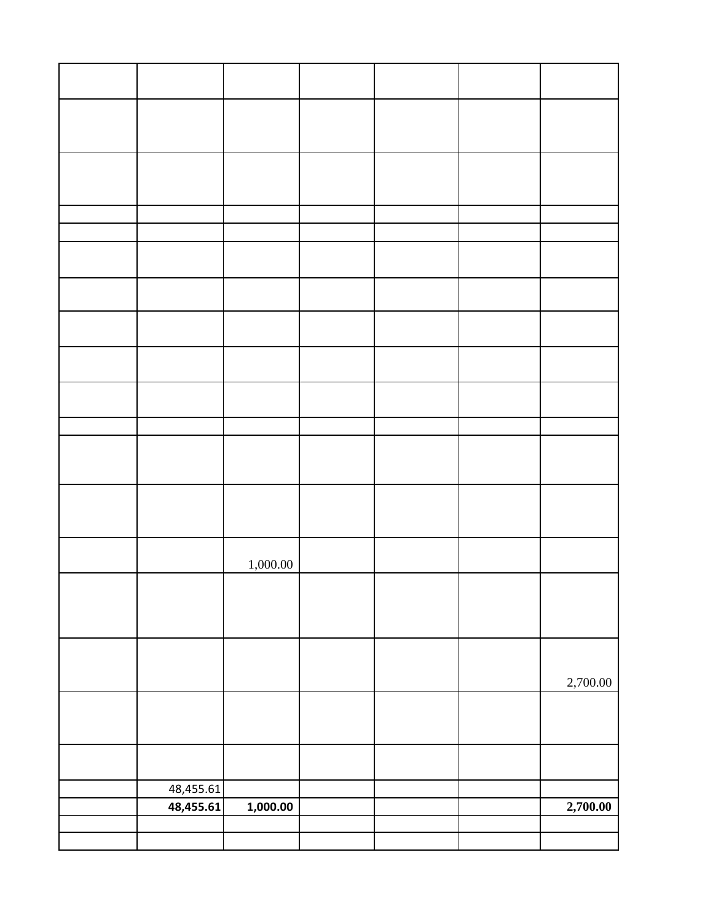|           | 1,000.00 |  |          |
|-----------|----------|--|----------|
|           |          |  |          |
|           |          |  |          |
|           |          |  |          |
|           |          |  | 2,700.00 |
|           |          |  |          |
|           |          |  |          |
| 48,455.61 |          |  |          |
| 48,455.61 | 1,000.00 |  | 2,700.00 |
|           |          |  |          |
|           |          |  |          |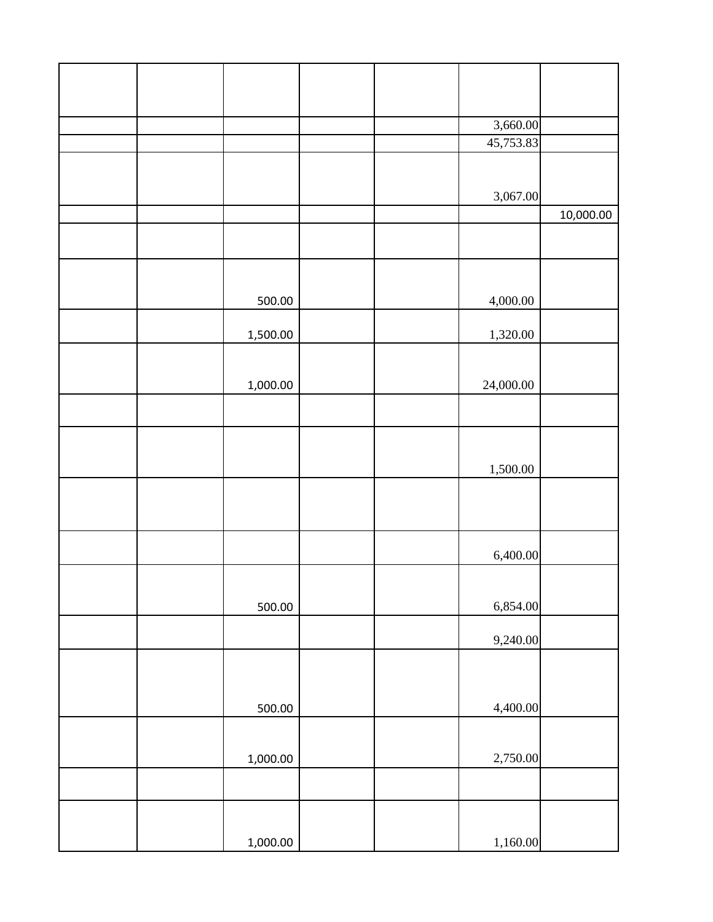|  |          |  | 3,660.00  |           |
|--|----------|--|-----------|-----------|
|  |          |  | 45,753.83 |           |
|  |          |  |           |           |
|  |          |  | 3,067.00  |           |
|  |          |  |           | 10,000.00 |
|  |          |  |           |           |
|  |          |  |           |           |
|  |          |  |           |           |
|  | 500.00   |  | 4,000.00  |           |
|  | 1,500.00 |  | 1,320.00  |           |
|  |          |  |           |           |
|  | 1,000.00 |  | 24,000.00 |           |
|  |          |  |           |           |
|  |          |  |           |           |
|  |          |  | 1,500.00  |           |
|  |          |  |           |           |
|  |          |  |           |           |
|  |          |  | 6,400.00  |           |
|  |          |  |           |           |
|  | 500.00   |  | 6,854.00  |           |
|  |          |  | 9,240.00  |           |
|  |          |  |           |           |
|  |          |  |           |           |
|  | 500.00   |  | 4,400.00  |           |
|  |          |  |           |           |
|  | 1,000.00 |  | 2,750.00  |           |
|  |          |  |           |           |
|  |          |  |           |           |
|  | 1,000.00 |  | 1,160.00  |           |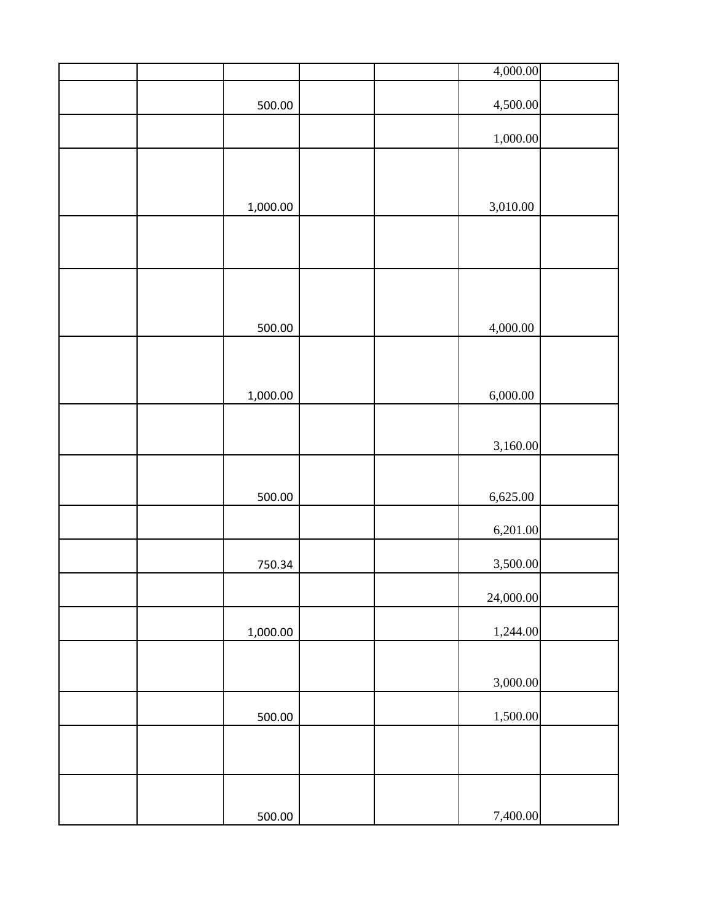|          | 4,000.00  |  |
|----------|-----------|--|
| 500.00   | 4,500.00  |  |
|          | 1,000.00  |  |
|          |           |  |
|          |           |  |
| 1,000.00 | 3,010.00  |  |
|          |           |  |
|          |           |  |
| 500.00   | 4,000.00  |  |
|          |           |  |
| 1,000.00 | 6,000.00  |  |
|          |           |  |
|          | 3,160.00  |  |
| 500.00   | 6,625.00  |  |
|          |           |  |
|          | 6,201.00  |  |
| 750.34   | 3,500.00  |  |
|          | 24,000.00 |  |
| 1,000.00 | 1,244.00  |  |
|          |           |  |
|          | 3,000.00  |  |
| 500.00   | 1,500.00  |  |
|          |           |  |
|          |           |  |
| 500.00   | 7,400.00  |  |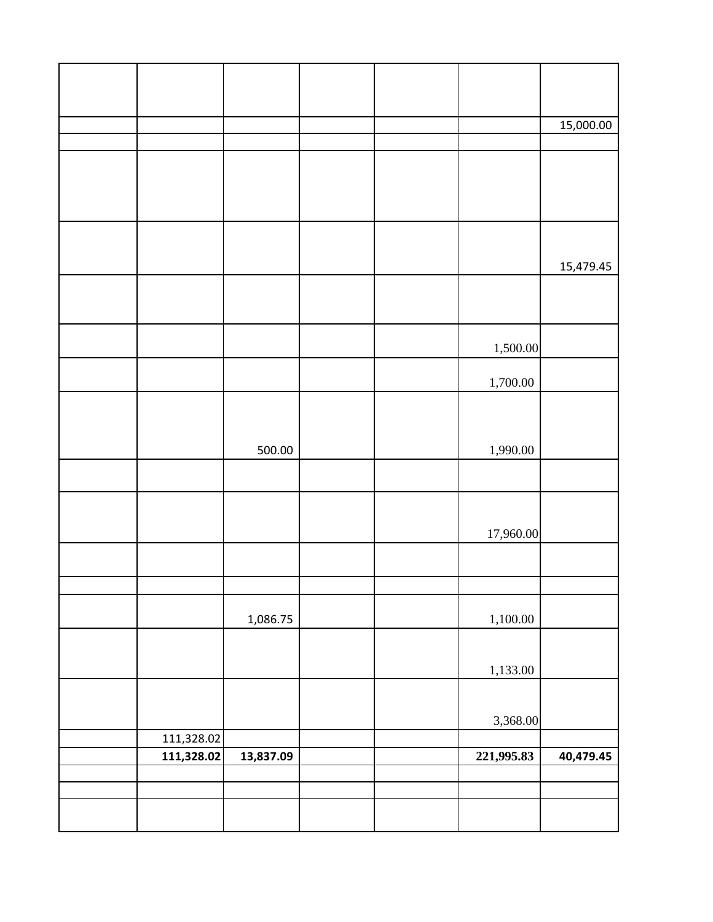|            |           |  |            | 15,000.00 |
|------------|-----------|--|------------|-----------|
|            |           |  |            |           |
|            |           |  |            |           |
|            |           |  |            |           |
|            |           |  |            |           |
|            |           |  |            | 15,479.45 |
|            |           |  |            |           |
|            |           |  |            |           |
|            |           |  | 1,500.00   |           |
|            |           |  | 1,700.00   |           |
|            |           |  |            |           |
|            |           |  |            |           |
|            | 500.00    |  | 1,990.00   |           |
|            |           |  |            |           |
|            |           |  |            |           |
|            |           |  | 17,960.00  |           |
|            |           |  |            |           |
|            |           |  |            |           |
|            | 1,086.75  |  | 1,100.00   |           |
|            |           |  |            |           |
|            |           |  | 1,133.00   |           |
|            |           |  |            |           |
|            |           |  | 3,368.00   |           |
| 111,328.02 |           |  |            |           |
| 111,328.02 | 13,837.09 |  | 221,995.83 | 40,479.45 |
|            |           |  |            |           |
|            |           |  |            |           |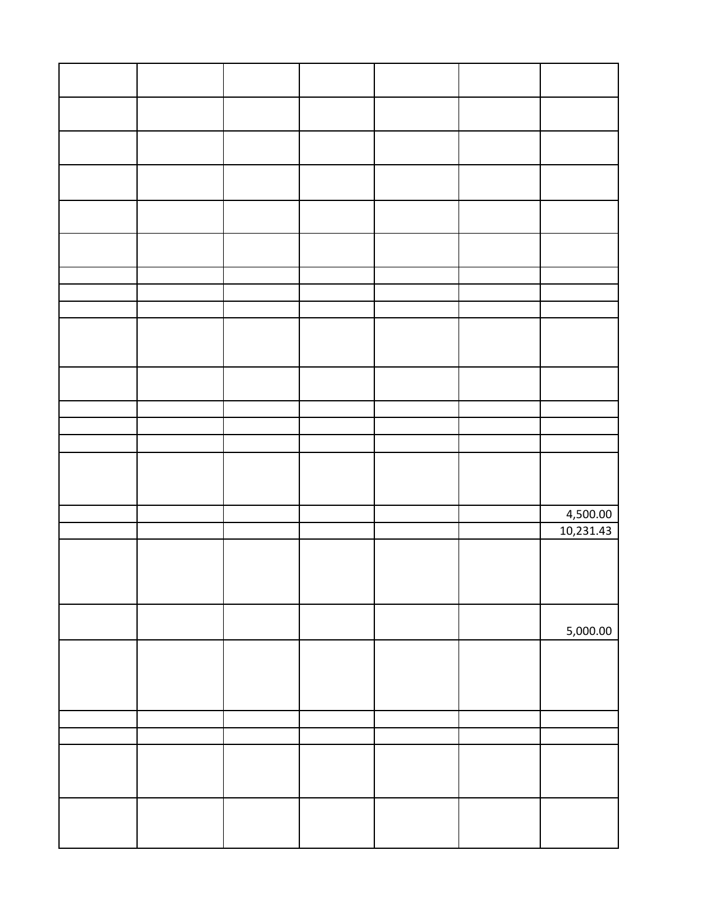|  |  |  | 4,500.00  |
|--|--|--|-----------|
|  |  |  | 10,231.43 |
|  |  |  |           |
|  |  |  |           |
|  |  |  |           |
|  |  |  |           |
|  |  |  | 5,000.00  |
|  |  |  |           |
|  |  |  |           |
|  |  |  |           |
|  |  |  |           |
|  |  |  |           |
|  |  |  |           |
|  |  |  |           |
|  |  |  |           |
|  |  |  |           |
|  |  |  |           |
|  |  |  |           |
|  |  |  |           |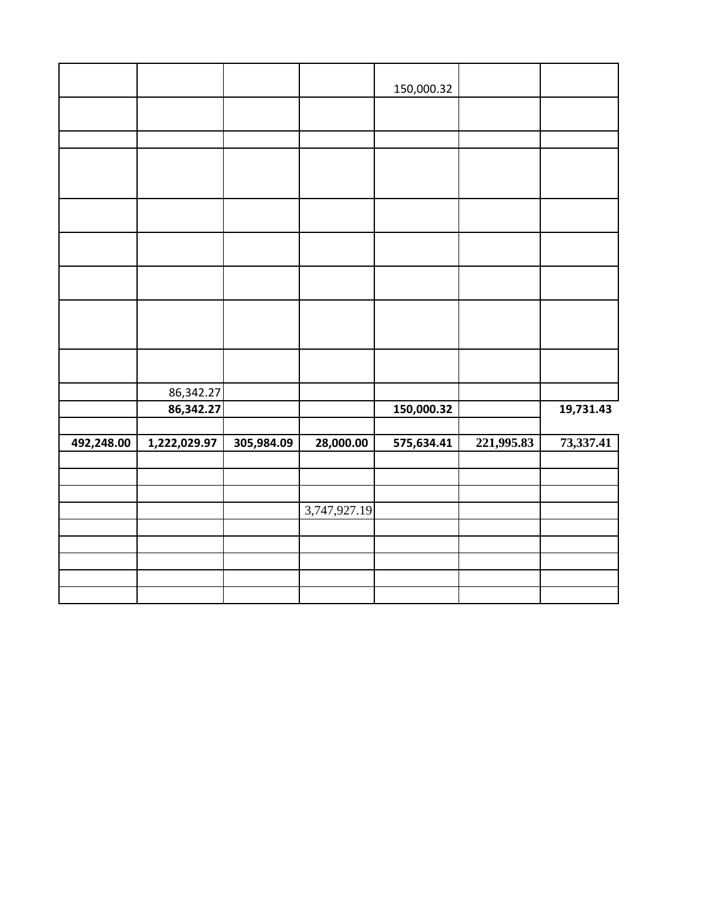|            |              |            |              | 150,000.32 |            |           |
|------------|--------------|------------|--------------|------------|------------|-----------|
|            |              |            |              |            |            |           |
|            |              |            |              |            |            |           |
|            |              |            |              |            |            |           |
|            |              |            |              |            |            |           |
|            |              |            |              |            |            |           |
|            |              |            |              |            |            |           |
|            |              |            |              |            |            |           |
|            |              |            |              |            |            |           |
|            | 86,342.27    |            |              |            |            |           |
|            | 86,342.27    |            |              | 150,000.32 |            | 19,731.43 |
| 492,248.00 | 1,222,029.97 | 305,984.09 | 28,000.00    | 575,634.41 | 221,995.83 | 73,337.41 |
|            |              |            |              |            |            |           |
|            |              |            |              |            |            |           |
|            |              |            | 3,747,927.19 |            |            |           |
|            |              |            |              |            |            |           |
|            |              |            |              |            |            |           |
|            |              |            |              |            |            |           |
|            |              |            |              |            |            |           |
|            |              |            |              |            |            |           |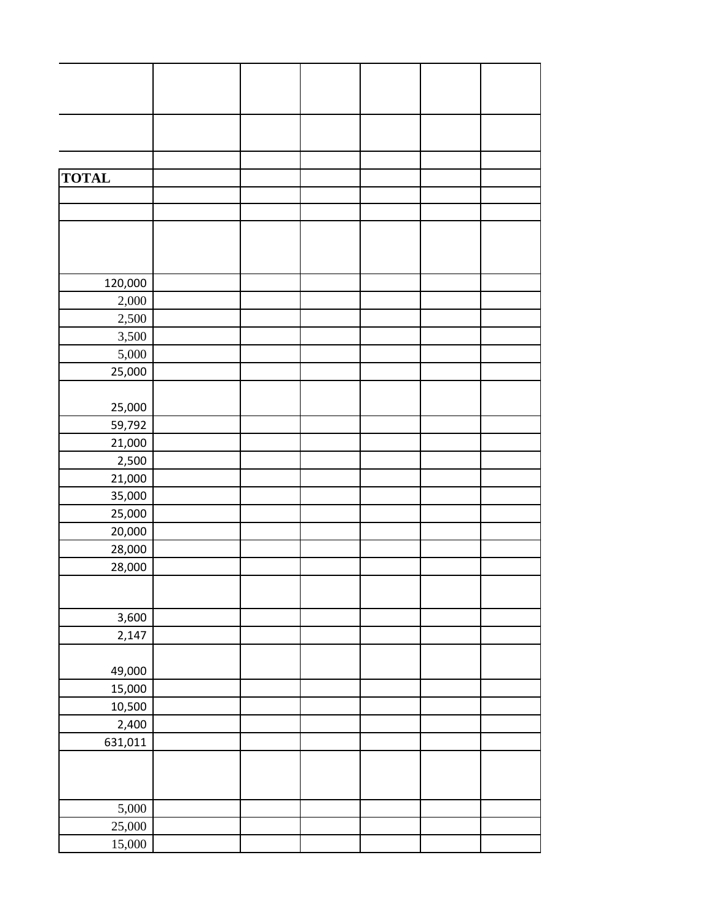| <b>TOTAL</b> |  |  |  |
|--------------|--|--|--|
|              |  |  |  |
|              |  |  |  |
|              |  |  |  |
|              |  |  |  |
|              |  |  |  |
| 120,000      |  |  |  |
| 2,000        |  |  |  |
| 2,500        |  |  |  |
| 3,500        |  |  |  |
| 5,000        |  |  |  |
| 25,000       |  |  |  |
|              |  |  |  |
| 25,000       |  |  |  |
| 59,792       |  |  |  |
| 21,000       |  |  |  |
| 2,500        |  |  |  |
| 21,000       |  |  |  |
| 35,000       |  |  |  |
| 25,000       |  |  |  |
| 20,000       |  |  |  |
| 28,000       |  |  |  |
| 28,000       |  |  |  |
|              |  |  |  |
|              |  |  |  |
| 3,600        |  |  |  |
| 2,147        |  |  |  |
|              |  |  |  |
| 49,000       |  |  |  |
| 15,000       |  |  |  |
| 10,500       |  |  |  |
| 2,400        |  |  |  |
| 631,011      |  |  |  |
|              |  |  |  |
|              |  |  |  |
| 5,000        |  |  |  |
| 25,000       |  |  |  |
| 15,000       |  |  |  |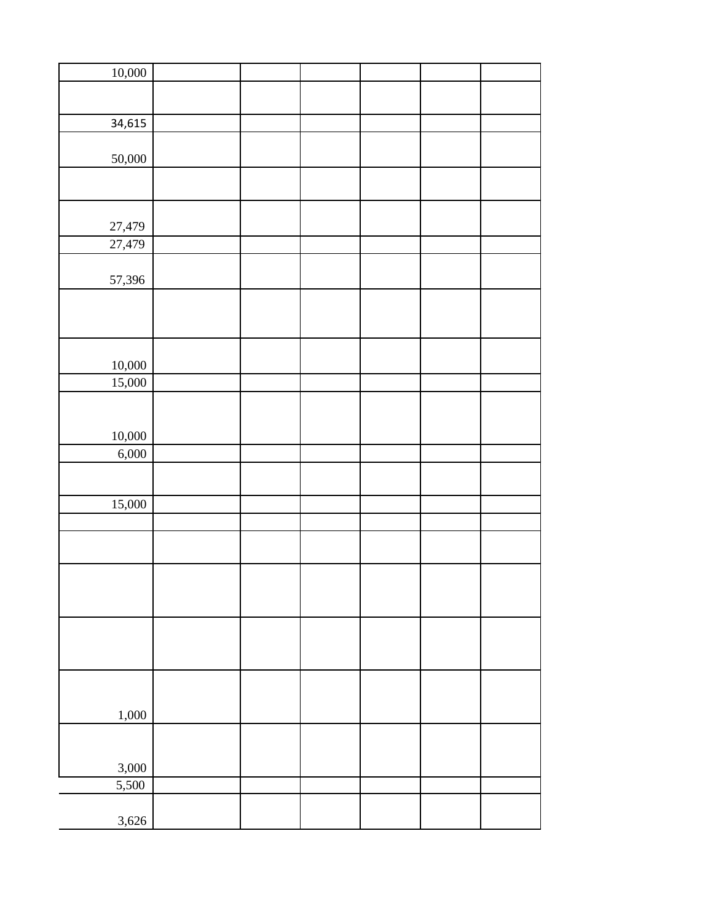| 10,000 |  |  |  |
|--------|--|--|--|
|        |  |  |  |
|        |  |  |  |
|        |  |  |  |
| 34,615 |  |  |  |
|        |  |  |  |
| 50,000 |  |  |  |
|        |  |  |  |
|        |  |  |  |
|        |  |  |  |
|        |  |  |  |
| 27,479 |  |  |  |
| 27,479 |  |  |  |
|        |  |  |  |
|        |  |  |  |
| 57,396 |  |  |  |
|        |  |  |  |
|        |  |  |  |
|        |  |  |  |
|        |  |  |  |
|        |  |  |  |
| 10,000 |  |  |  |
| 15,000 |  |  |  |
|        |  |  |  |
|        |  |  |  |
| 10,000 |  |  |  |
|        |  |  |  |
| 6,000  |  |  |  |
|        |  |  |  |
|        |  |  |  |
| 15,000 |  |  |  |
|        |  |  |  |
|        |  |  |  |
|        |  |  |  |
|        |  |  |  |
|        |  |  |  |
|        |  |  |  |
|        |  |  |  |
|        |  |  |  |
|        |  |  |  |
|        |  |  |  |
|        |  |  |  |
|        |  |  |  |
|        |  |  |  |
|        |  |  |  |
| 1,000  |  |  |  |
|        |  |  |  |
|        |  |  |  |
| 3,000  |  |  |  |
|        |  |  |  |
| 5,500  |  |  |  |
|        |  |  |  |
| 3,626  |  |  |  |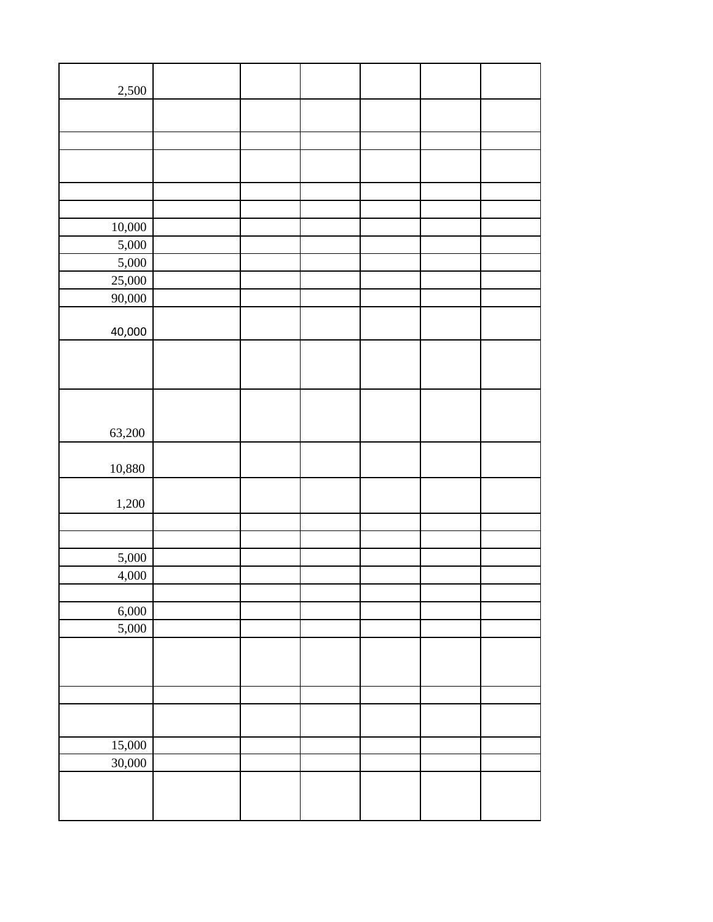| 2,500  |  |  |  |
|--------|--|--|--|
|        |  |  |  |
|        |  |  |  |
|        |  |  |  |
|        |  |  |  |
|        |  |  |  |
|        |  |  |  |
| 10,000 |  |  |  |
| 5,000  |  |  |  |
| 5,000  |  |  |  |
| 25,000 |  |  |  |
| 90,000 |  |  |  |
| 40,000 |  |  |  |
|        |  |  |  |
|        |  |  |  |
|        |  |  |  |
|        |  |  |  |
|        |  |  |  |
| 63,200 |  |  |  |
|        |  |  |  |
| 10,880 |  |  |  |
|        |  |  |  |
| 1,200  |  |  |  |
|        |  |  |  |
|        |  |  |  |
| 5,000  |  |  |  |
| 4,000  |  |  |  |
|        |  |  |  |
| 6,000  |  |  |  |
| 5,000  |  |  |  |
|        |  |  |  |
|        |  |  |  |
|        |  |  |  |
|        |  |  |  |
|        |  |  |  |
| 15,000 |  |  |  |
| 30,000 |  |  |  |
|        |  |  |  |
|        |  |  |  |
|        |  |  |  |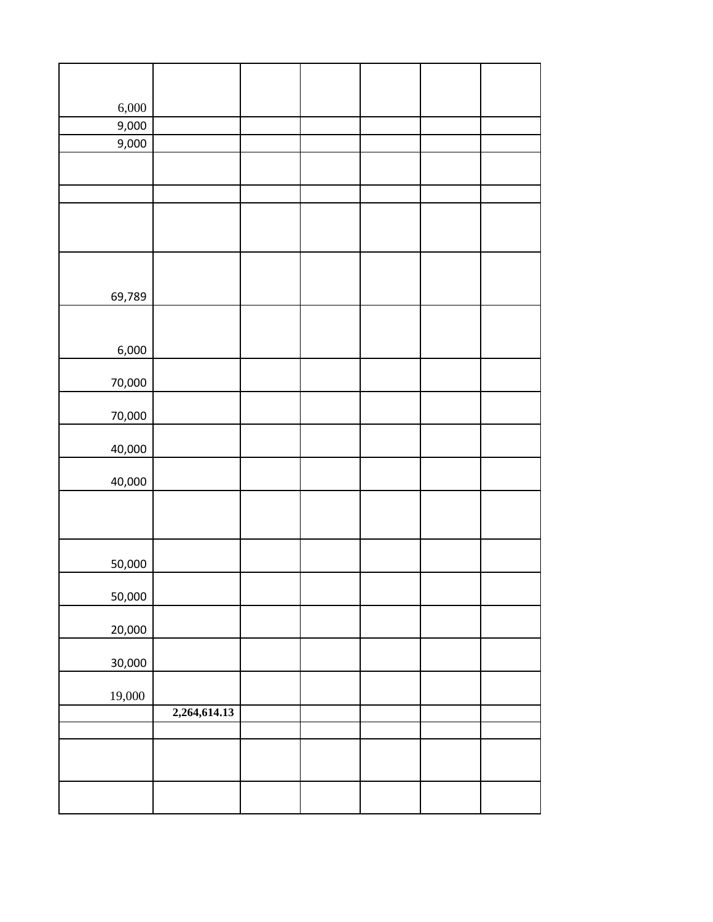| 6,000<br>9,000 |              |  |  |  |
|----------------|--------------|--|--|--|
| 9,000          |              |  |  |  |
|                |              |  |  |  |
|                |              |  |  |  |
|                |              |  |  |  |
|                |              |  |  |  |
|                |              |  |  |  |
|                |              |  |  |  |
|                |              |  |  |  |
| 69,789         |              |  |  |  |
|                |              |  |  |  |
|                |              |  |  |  |
| 6,000          |              |  |  |  |
| 70,000         |              |  |  |  |
|                |              |  |  |  |
| 70,000         |              |  |  |  |
|                |              |  |  |  |
| 40,000         |              |  |  |  |
| 40,000         |              |  |  |  |
|                |              |  |  |  |
|                |              |  |  |  |
|                |              |  |  |  |
| 50,000         |              |  |  |  |
|                |              |  |  |  |
| 50,000         |              |  |  |  |
|                |              |  |  |  |
| 20,000         |              |  |  |  |
| 30,000         |              |  |  |  |
|                |              |  |  |  |
| 19,000         |              |  |  |  |
|                | 2,264,614.13 |  |  |  |
|                |              |  |  |  |
|                |              |  |  |  |
|                |              |  |  |  |
|                |              |  |  |  |
|                |              |  |  |  |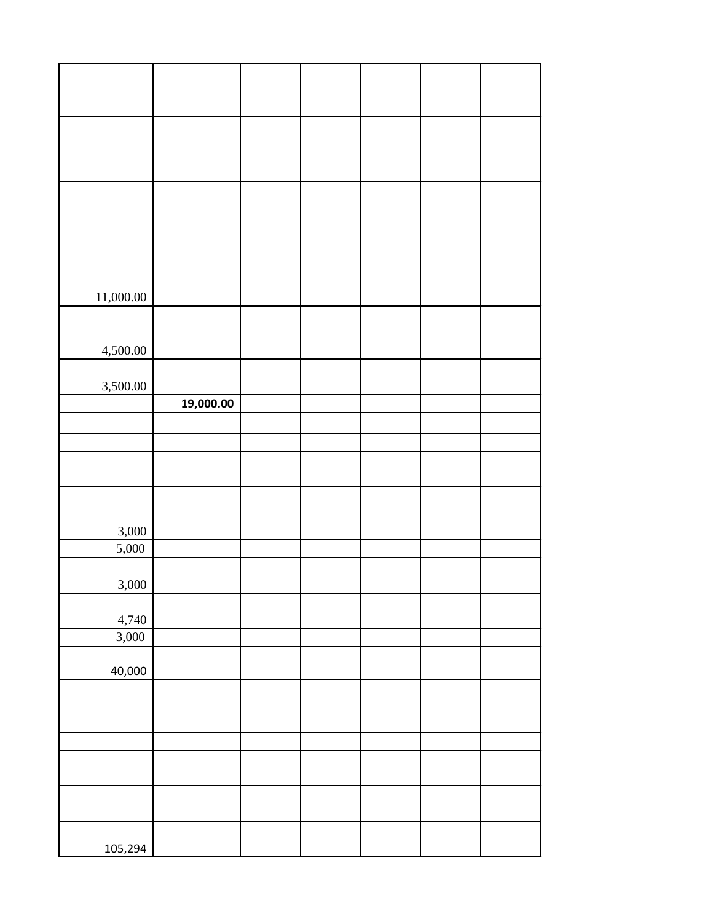| 11,000.00 |           |  |  |  |
|-----------|-----------|--|--|--|
|           |           |  |  |  |
|           |           |  |  |  |
| 4,500.00  |           |  |  |  |
|           |           |  |  |  |
| 3,500.00  |           |  |  |  |
|           | 19,000.00 |  |  |  |
|           |           |  |  |  |
|           |           |  |  |  |
|           |           |  |  |  |
|           |           |  |  |  |
|           |           |  |  |  |
|           |           |  |  |  |
|           |           |  |  |  |
| 3,000     |           |  |  |  |
| 5,000     |           |  |  |  |
|           |           |  |  |  |
|           |           |  |  |  |
| 3,000     |           |  |  |  |
|           |           |  |  |  |
| 4,740     |           |  |  |  |
| 3,000     |           |  |  |  |
|           |           |  |  |  |
| 40,000    |           |  |  |  |
|           |           |  |  |  |
|           |           |  |  |  |
|           |           |  |  |  |
|           |           |  |  |  |
|           |           |  |  |  |
|           |           |  |  |  |
|           |           |  |  |  |
|           |           |  |  |  |
|           |           |  |  |  |
| 105,294   |           |  |  |  |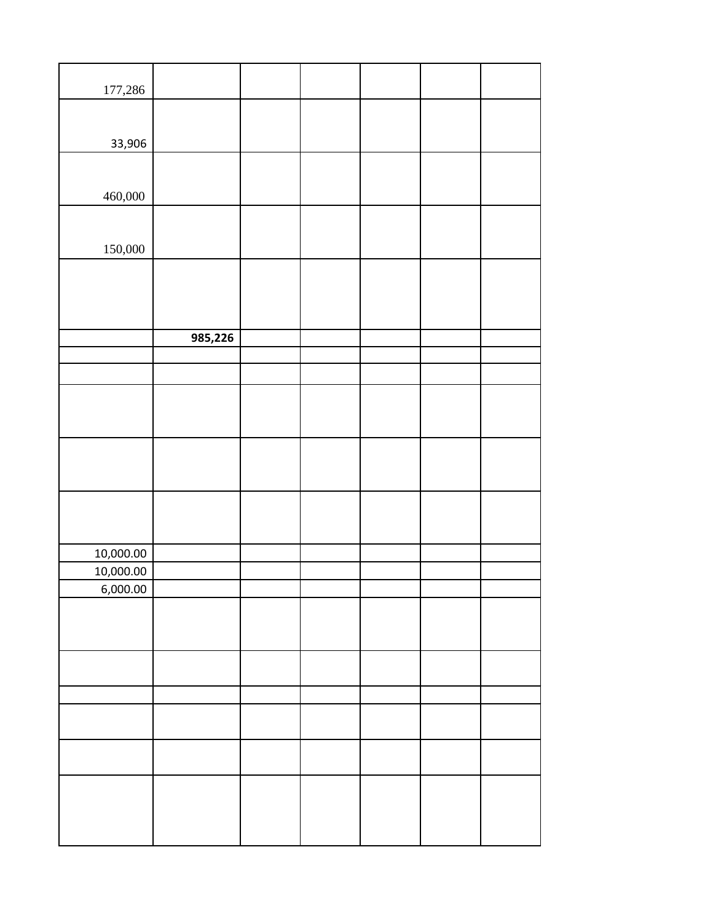| 177,286   |         |  |  |  |
|-----------|---------|--|--|--|
|           |         |  |  |  |
| 33,906    |         |  |  |  |
|           |         |  |  |  |
|           |         |  |  |  |
| 460,000   |         |  |  |  |
|           |         |  |  |  |
| 150,000   |         |  |  |  |
|           |         |  |  |  |
|           |         |  |  |  |
|           |         |  |  |  |
|           | 985,226 |  |  |  |
|           |         |  |  |  |
|           |         |  |  |  |
|           |         |  |  |  |
|           |         |  |  |  |
|           |         |  |  |  |
|           |         |  |  |  |
|           |         |  |  |  |
|           |         |  |  |  |
|           |         |  |  |  |
|           |         |  |  |  |
|           |         |  |  |  |
| 10,000.00 |         |  |  |  |
| 10,000.00 |         |  |  |  |
| 6,000.00  |         |  |  |  |
|           |         |  |  |  |
|           |         |  |  |  |
|           |         |  |  |  |
|           |         |  |  |  |
|           |         |  |  |  |
|           |         |  |  |  |
|           |         |  |  |  |
|           |         |  |  |  |
|           |         |  |  |  |
|           |         |  |  |  |
|           |         |  |  |  |
|           |         |  |  |  |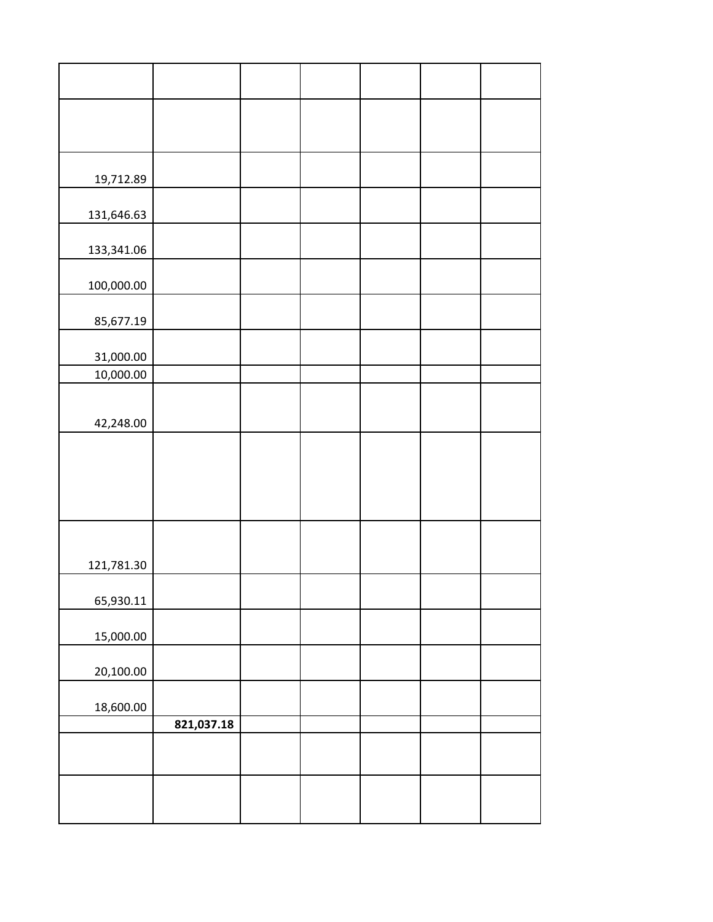| 19,712.89  |            |  |  |  |
|------------|------------|--|--|--|
| 131,646.63 |            |  |  |  |
| 133,341.06 |            |  |  |  |
| 100,000.00 |            |  |  |  |
| 85,677.19  |            |  |  |  |
| 31,000.00  |            |  |  |  |
| 10,000.00  |            |  |  |  |
|            |            |  |  |  |
| 42,248.00  |            |  |  |  |
|            |            |  |  |  |
|            |            |  |  |  |
|            |            |  |  |  |
|            |            |  |  |  |
| 121,781.30 |            |  |  |  |
| 65,930.11  |            |  |  |  |
| 15,000.00  |            |  |  |  |
| 20,100.00  |            |  |  |  |
|            |            |  |  |  |
| 18,600.00  | 821,037.18 |  |  |  |
|            |            |  |  |  |
|            |            |  |  |  |
|            |            |  |  |  |
|            |            |  |  |  |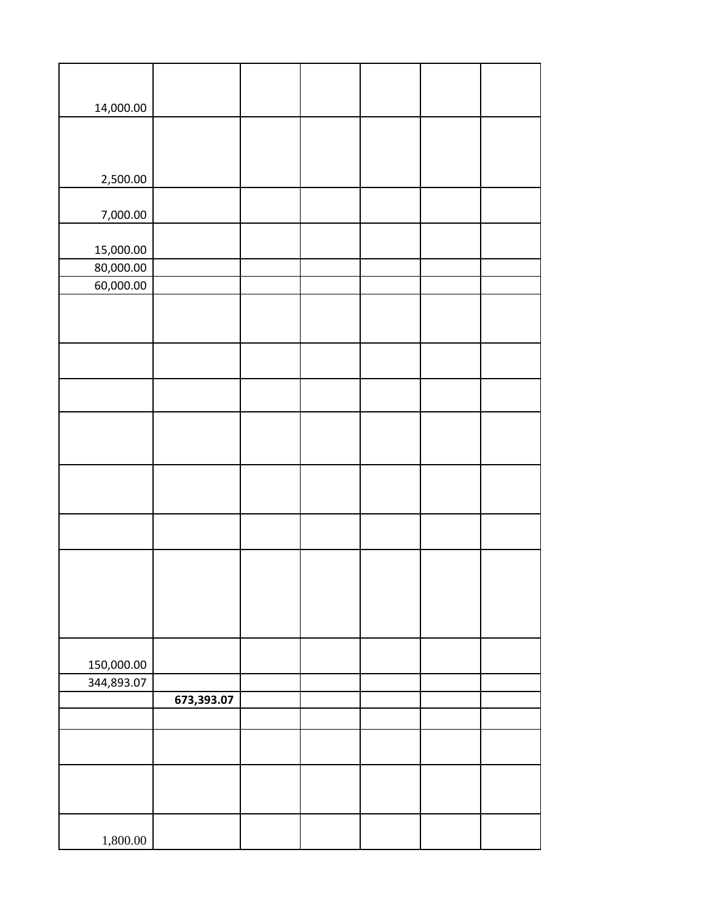| 14,000.00  |            |  |  |  |
|------------|------------|--|--|--|
|            |            |  |  |  |
|            |            |  |  |  |
|            |            |  |  |  |
| 2,500.00   |            |  |  |  |
| 7,000.00   |            |  |  |  |
|            |            |  |  |  |
| 15,000.00  |            |  |  |  |
| 80,000.00  |            |  |  |  |
| 60,000.00  |            |  |  |  |
|            |            |  |  |  |
|            |            |  |  |  |
|            |            |  |  |  |
|            |            |  |  |  |
|            |            |  |  |  |
|            |            |  |  |  |
|            |            |  |  |  |
|            |            |  |  |  |
|            |            |  |  |  |
|            |            |  |  |  |
|            |            |  |  |  |
|            |            |  |  |  |
|            |            |  |  |  |
|            |            |  |  |  |
|            |            |  |  |  |
|            |            |  |  |  |
|            |            |  |  |  |
| 150,000.00 |            |  |  |  |
| 344,893.07 |            |  |  |  |
|            | 673,393.07 |  |  |  |
|            |            |  |  |  |
|            |            |  |  |  |
|            |            |  |  |  |
|            |            |  |  |  |
|            |            |  |  |  |
| 1,800.00   |            |  |  |  |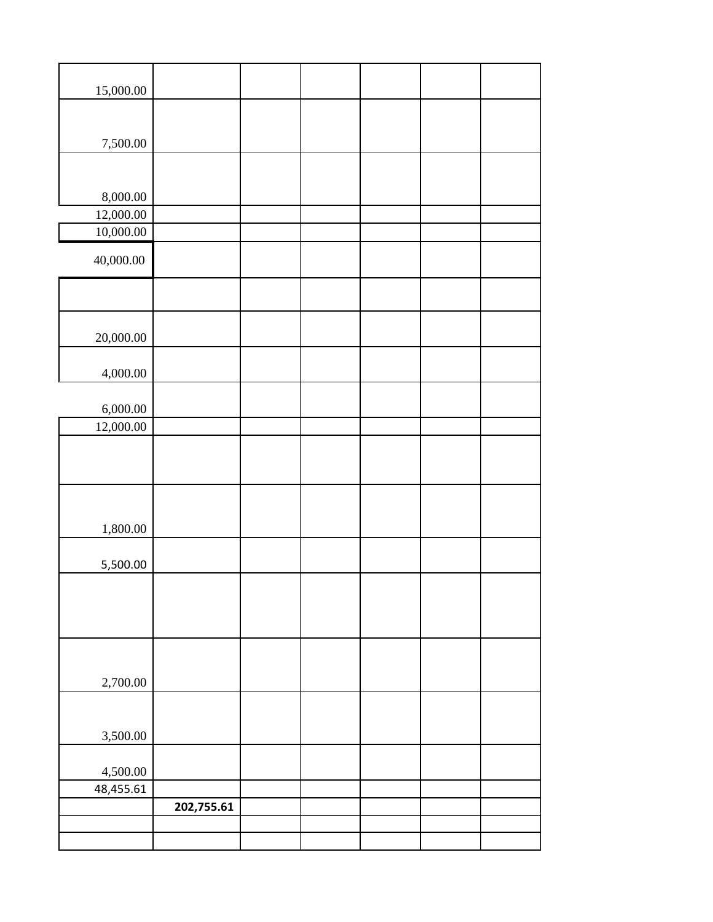| 15,000.00     |            |  |  |  |
|---------------|------------|--|--|--|
|               |            |  |  |  |
| 7,500.00      |            |  |  |  |
|               |            |  |  |  |
| 8,000.00      |            |  |  |  |
| 12,000.00     |            |  |  |  |
| $10,\!000.00$ |            |  |  |  |
| 40,000.00     |            |  |  |  |
|               |            |  |  |  |
|               |            |  |  |  |
| 20,000.00     |            |  |  |  |
| 4,000.00      |            |  |  |  |
|               |            |  |  |  |
| 6,000.00      |            |  |  |  |
| 12,000.00     |            |  |  |  |
|               |            |  |  |  |
| 1,800.00      |            |  |  |  |
|               |            |  |  |  |
| 5,500.00      |            |  |  |  |
|               |            |  |  |  |
|               |            |  |  |  |
|               |            |  |  |  |
| 2,700.00      |            |  |  |  |
|               |            |  |  |  |
| 3,500.00      |            |  |  |  |
| 4,500.00      |            |  |  |  |
| 48,455.61     |            |  |  |  |
|               | 202,755.61 |  |  |  |
|               |            |  |  |  |
|               |            |  |  |  |
|               |            |  |  |  |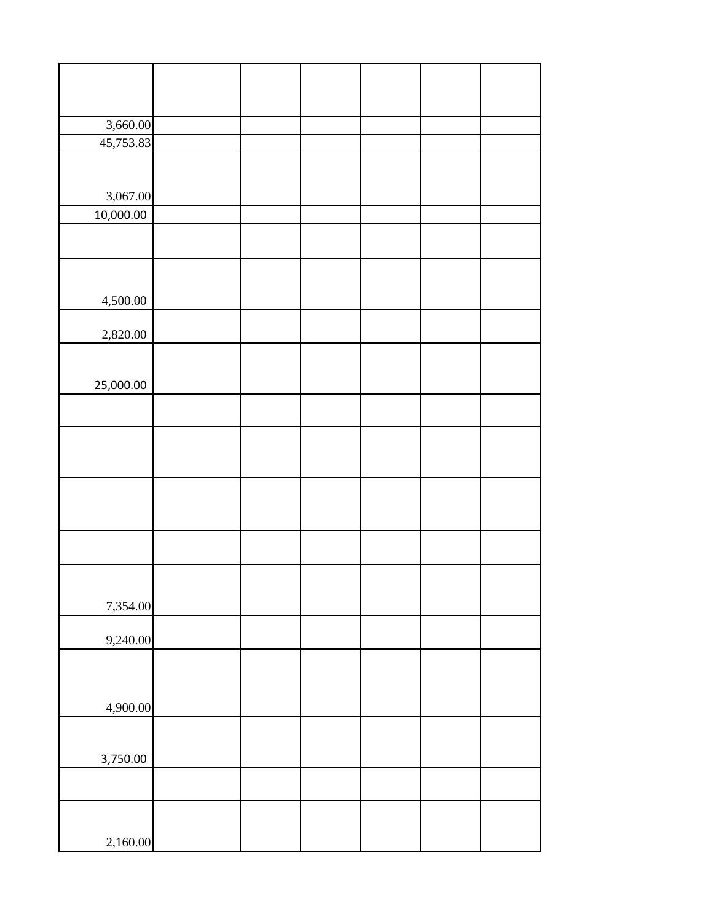| 3,660.00  |  |  |  |
|-----------|--|--|--|
| 45,753.83 |  |  |  |
|           |  |  |  |
|           |  |  |  |
|           |  |  |  |
| 3,067.00  |  |  |  |
| 10,000.00 |  |  |  |
|           |  |  |  |
|           |  |  |  |
|           |  |  |  |
|           |  |  |  |
|           |  |  |  |
| 4,500.00  |  |  |  |
|           |  |  |  |
| 2,820.00  |  |  |  |
|           |  |  |  |
|           |  |  |  |
| 25,000.00 |  |  |  |
|           |  |  |  |
|           |  |  |  |
|           |  |  |  |
|           |  |  |  |
|           |  |  |  |
|           |  |  |  |
|           |  |  |  |
|           |  |  |  |
|           |  |  |  |
|           |  |  |  |
|           |  |  |  |
|           |  |  |  |
|           |  |  |  |
| 7,354.00  |  |  |  |
|           |  |  |  |
|           |  |  |  |
| 9,240.00  |  |  |  |
|           |  |  |  |
|           |  |  |  |
|           |  |  |  |
| 4,900.00  |  |  |  |
|           |  |  |  |
|           |  |  |  |
| 3,750.00  |  |  |  |
|           |  |  |  |
|           |  |  |  |
|           |  |  |  |
|           |  |  |  |
|           |  |  |  |
| 2,160.00  |  |  |  |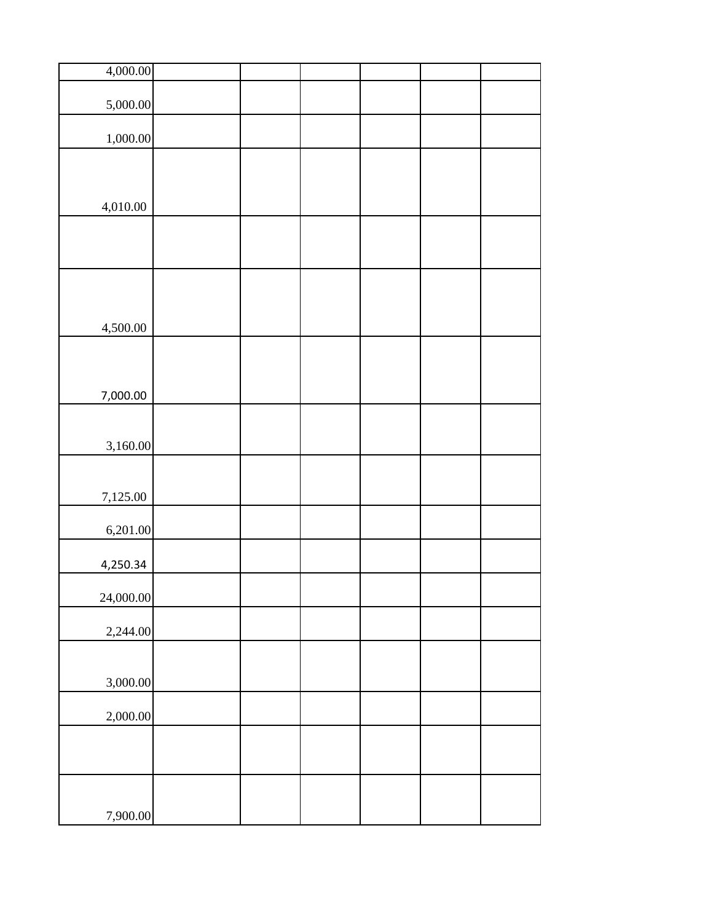| 4,000.00  |  |  |  |
|-----------|--|--|--|
| 5,000.00  |  |  |  |
|           |  |  |  |
| 1,000.00  |  |  |  |
|           |  |  |  |
|           |  |  |  |
| 4,010.00  |  |  |  |
|           |  |  |  |
|           |  |  |  |
|           |  |  |  |
|           |  |  |  |
|           |  |  |  |
| 4,500.00  |  |  |  |
|           |  |  |  |
|           |  |  |  |
| 7,000.00  |  |  |  |
|           |  |  |  |
| 3,160.00  |  |  |  |
|           |  |  |  |
| 7,125.00  |  |  |  |
|           |  |  |  |
| 6,201.00  |  |  |  |
| 4,250.34  |  |  |  |
|           |  |  |  |
| 24,000.00 |  |  |  |
| 2,244.00  |  |  |  |
|           |  |  |  |
| 3,000.00  |  |  |  |
|           |  |  |  |
| 2,000.00  |  |  |  |
|           |  |  |  |
|           |  |  |  |
|           |  |  |  |
|           |  |  |  |
| 7,900.00  |  |  |  |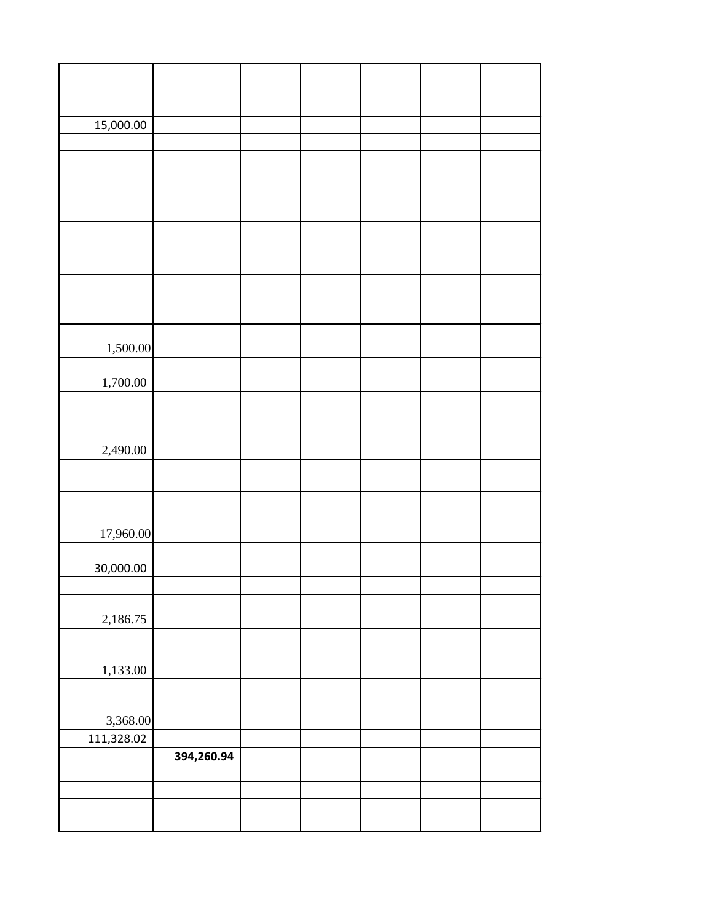| 15,000.00  |            |  |  |  |
|------------|------------|--|--|--|
|            |            |  |  |  |
|            |            |  |  |  |
|            |            |  |  |  |
|            |            |  |  |  |
|            |            |  |  |  |
|            |            |  |  |  |
|            |            |  |  |  |
|            |            |  |  |  |
|            |            |  |  |  |
|            |            |  |  |  |
|            |            |  |  |  |
| 1,500.00   |            |  |  |  |
|            |            |  |  |  |
| 1,700.00   |            |  |  |  |
|            |            |  |  |  |
|            |            |  |  |  |
| 2,490.00   |            |  |  |  |
|            |            |  |  |  |
|            |            |  |  |  |
|            |            |  |  |  |
| 17,960.00  |            |  |  |  |
|            |            |  |  |  |
| 30,000.00  |            |  |  |  |
|            |            |  |  |  |
|            |            |  |  |  |
| 2,186.75   |            |  |  |  |
|            |            |  |  |  |
|            |            |  |  |  |
| 1,133.00   |            |  |  |  |
|            |            |  |  |  |
| 3,368.00   |            |  |  |  |
| 111,328.02 |            |  |  |  |
|            | 394,260.94 |  |  |  |
|            |            |  |  |  |
|            |            |  |  |  |
|            |            |  |  |  |
|            |            |  |  |  |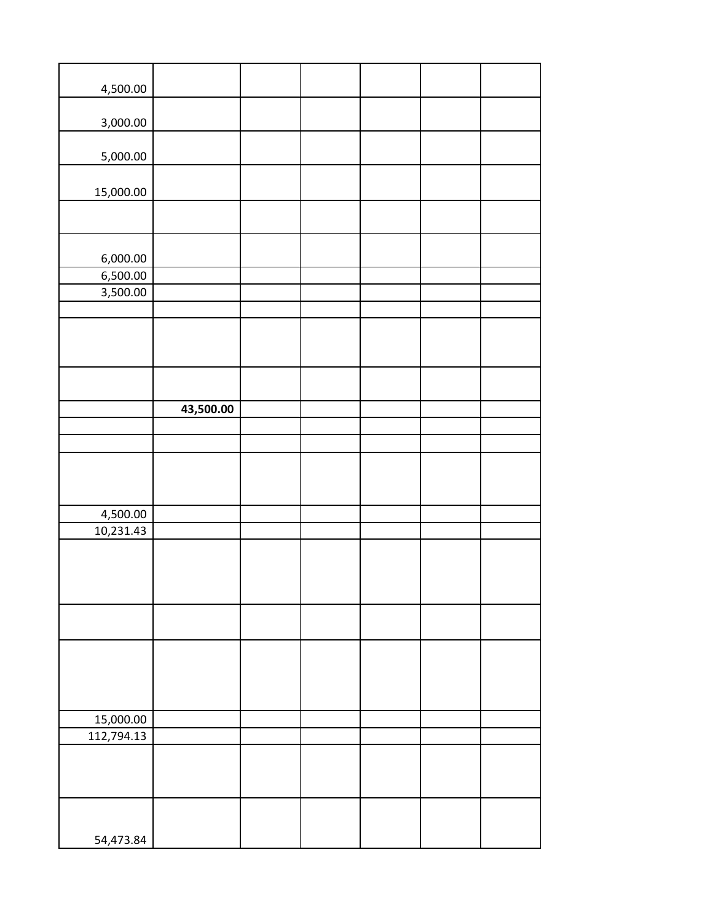| 4,500.00   |           |  |  |  |
|------------|-----------|--|--|--|
| 3,000.00   |           |  |  |  |
| 5,000.00   |           |  |  |  |
|            |           |  |  |  |
| 15,000.00  |           |  |  |  |
|            |           |  |  |  |
| 6,000.00   |           |  |  |  |
| 6,500.00   |           |  |  |  |
| 3,500.00   |           |  |  |  |
|            |           |  |  |  |
|            |           |  |  |  |
|            |           |  |  |  |
|            |           |  |  |  |
|            | 43,500.00 |  |  |  |
|            |           |  |  |  |
|            |           |  |  |  |
|            |           |  |  |  |
|            |           |  |  |  |
| 4,500.00   |           |  |  |  |
| 10,231.43  |           |  |  |  |
|            |           |  |  |  |
|            |           |  |  |  |
|            |           |  |  |  |
|            |           |  |  |  |
|            |           |  |  |  |
|            |           |  |  |  |
|            |           |  |  |  |
| 15,000.00  |           |  |  |  |
| 112,794.13 |           |  |  |  |
|            |           |  |  |  |
|            |           |  |  |  |
|            |           |  |  |  |
|            |           |  |  |  |
| 54,473.84  |           |  |  |  |